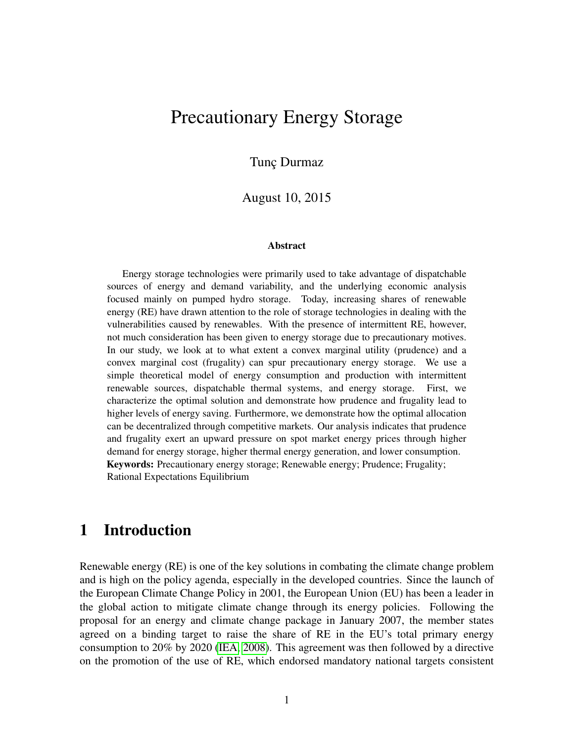## Precautionary Energy Storage

Tunç Durmaz

August 10, 2015

#### **Abstract**

Energy storage technologies were primarily used to take advantage of dispatchable sources of energy and demand variability, and the underlying economic analysis focused mainly on pumped hydro storage. Today, increasing shares of renewable energy (RE) have drawn attention to the role of storage technologies in dealing with the vulnerabilities caused by renewables. With the presence of intermittent RE, however, not much consideration has been given to energy storage due to precautionary motives. In our study, we look at to what extent a convex marginal utility (prudence) and a convex marginal cost (frugality) can spur precautionary energy storage. We use a simple theoretical model of energy consumption and production with intermittent renewable sources, dispatchable thermal systems, and energy storage. First, we characterize the optimal solution and demonstrate how prudence and frugality lead to higher levels of energy saving. Furthermore, we demonstrate how the optimal allocation can be decentralized through competitive markets. Our analysis indicates that prudence and frugality exert an upward pressure on spot market energy prices through higher demand for energy storage, higher thermal energy generation, and lower consumption. Keywords: Precautionary energy storage; Renewable energy; Prudence; Frugality; Rational Expectations Equilibrium

## 1 Introduction

Renewable energy (RE) is one of the key solutions in combating the climate change problem and is high on the policy agenda, especially in the developed countries. Since the launch of the European Climate Change Policy in 2001, the European Union (EU) has been a leader in the global action to mitigate climate change through its energy policies. Following the proposal for an energy and climate change package in January 2007, the member states agreed on a binding target to raise the share of RE in the EU's total primary energy consumption to 20% by 2020 [\(IEA, 2008\)](#page-32-0). This agreement was then followed by a directive on the promotion of the use of RE, which endorsed mandatory national targets consistent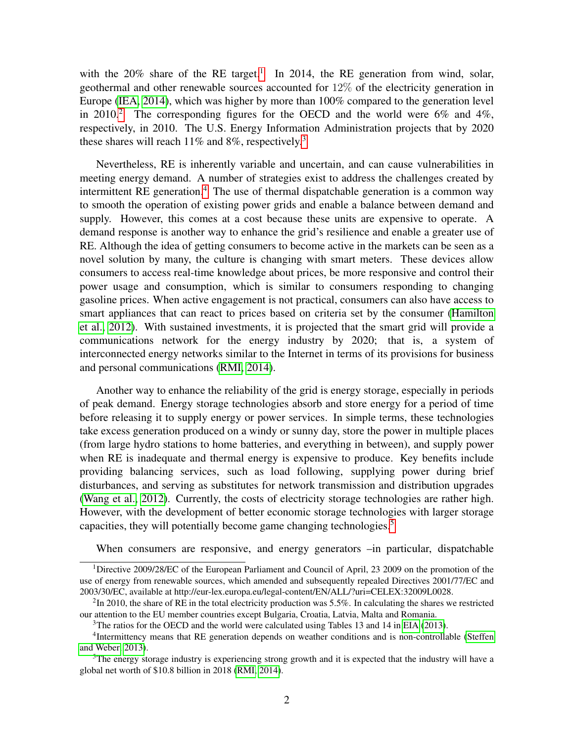with the  $20\%$  share of the RE target.<sup>[1](#page-1-0)</sup> In 2014, the RE generation from wind, solar, geothermal and other renewable sources accounted for 12% of the electricity generation in Europe [\(IEA, 2014\)](#page-32-1), which was higher by more than 100% compared to the generation level in [2](#page-1-1)010.<sup>2</sup> The corresponding figures for the OECD and the world were  $6\%$  and  $4\%$ , respectively, in 2010. The U.S. Energy Information Administration projects that by 2020 these shares will reach  $11\%$  and  $8\%$ , respectively.<sup>[3](#page-1-2)</sup>

Nevertheless, RE is inherently variable and uncertain, and can cause vulnerabilities in meeting energy demand. A number of strategies exist to address the challenges created by intermittent RE generation.<sup>[4](#page-1-3)</sup> The use of thermal dispatchable generation is a common way to smooth the operation of existing power grids and enable a balance between demand and supply. However, this comes at a cost because these units are expensive to operate. A demand response is another way to enhance the grid's resilience and enable a greater use of RE. Although the idea of getting consumers to become active in the markets can be seen as a novel solution by many, the culture is changing with smart meters. These devices allow consumers to access real-time knowledge about prices, be more responsive and control their power usage and consumption, which is similar to consumers responding to changing gasoline prices. When active engagement is not practical, consumers can also have access to smart appliances that can react to prices based on criteria set by the consumer [\(Hamilton](#page-31-0) [et al., 2012\)](#page-31-0). With sustained investments, it is projected that the smart grid will provide a communications network for the energy industry by 2020; that is, a system of interconnected energy networks similar to the Internet in terms of its provisions for business and personal communications [\(RMI, 2014\)](#page-33-0).

Another way to enhance the reliability of the grid is energy storage, especially in periods of peak demand. Energy storage technologies absorb and store energy for a period of time before releasing it to supply energy or power services. In simple terms, these technologies take excess generation produced on a windy or sunny day, store the power in multiple places (from large hydro stations to home batteries, and everything in between), and supply power when RE is inadequate and thermal energy is expensive to produce. Key benefits include providing balancing services, such as load following, supplying power during brief disturbances, and serving as substitutes for network transmission and distribution upgrades [\(Wang et al., 2012\)](#page-33-1). Currently, the costs of electricity storage technologies are rather high. However, with the development of better economic storage technologies with larger storage capacities, they will potentially become game changing technologies.<sup>[5](#page-1-4)</sup>

<span id="page-1-0"></span>When consumers are responsive, and energy generators –in particular, dispatchable

<sup>&</sup>lt;sup>1</sup>Directive 2009/28/EC of the European Parliament and Council of April, 23 2009 on the promotion of the use of energy from renewable sources, which amended and subsequently repealed Directives 2001/77/EC and 2003/30/EC, available at http://eur-lex.europa.eu/legal-content/EN/ALL/?uri=CELEX:32009L0028.

<span id="page-1-1"></span> ${}^{2}$ In 2010, the share of RE in the total electricity production was 5.5%. In calculating the shares we restricted our attention to the EU member countries except Bulgaria, Croatia, Latvia, Malta and Romania.

<span id="page-1-3"></span><span id="page-1-2"></span> $3$ The ratios for the OECD and the world were calculated using Tables 13 and 14 in [EIA](#page-31-1) [\(2013\)](#page-31-1).

<sup>&</sup>lt;sup>4</sup>Intermittency means that RE generation depends on weather conditions and is non-controllable [\(Steffen](#page-33-2) [and Weber, 2013\)](#page-33-2).

<span id="page-1-4"></span><sup>&</sup>lt;sup>5</sup>The energy storage industry is experiencing strong growth and it is expected that the industry will have a global net worth of \$10.8 billion in 2018 [\(RMI, 2014\)](#page-33-0).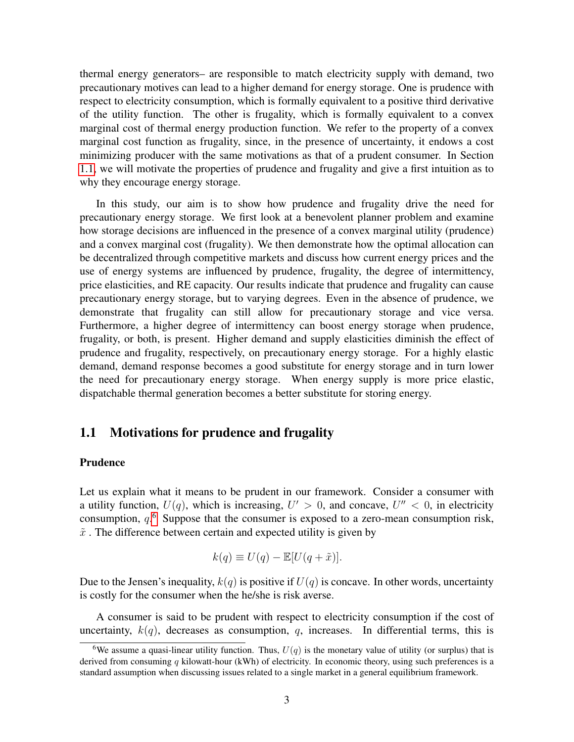thermal energy generators– are responsible to match electricity supply with demand, two precautionary motives can lead to a higher demand for energy storage. One is prudence with respect to electricity consumption, which is formally equivalent to a positive third derivative of the utility function. The other is frugality, which is formally equivalent to a convex marginal cost of thermal energy production function. We refer to the property of a convex marginal cost function as frugality, since, in the presence of uncertainty, it endows a cost minimizing producer with the same motivations as that of a prudent consumer. In Section [1.1,](#page-2-0) we will motivate the properties of prudence and frugality and give a first intuition as to why they encourage energy storage.

In this study, our aim is to show how prudence and frugality drive the need for precautionary energy storage. We first look at a benevolent planner problem and examine how storage decisions are influenced in the presence of a convex marginal utility (prudence) and a convex marginal cost (frugality). We then demonstrate how the optimal allocation can be decentralized through competitive markets and discuss how current energy prices and the use of energy systems are influenced by prudence, frugality, the degree of intermittency, price elasticities, and RE capacity. Our results indicate that prudence and frugality can cause precautionary energy storage, but to varying degrees. Even in the absence of prudence, we demonstrate that frugality can still allow for precautionary storage and vice versa. Furthermore, a higher degree of intermittency can boost energy storage when prudence, frugality, or both, is present. Higher demand and supply elasticities diminish the effect of prudence and frugality, respectively, on precautionary energy storage. For a highly elastic demand, demand response becomes a good substitute for energy storage and in turn lower the need for precautionary energy storage. When energy supply is more price elastic, dispatchable thermal generation becomes a better substitute for storing energy.

### <span id="page-2-0"></span>1.1 Motivations for prudence and frugality

#### Prudence

Let us explain what it means to be prudent in our framework. Consider a consumer with a utility function,  $U(q)$ , which is increasing,  $U' > 0$ , and concave,  $U'' < 0$ , in electricity consumption,  $q<sup>6</sup>$  $q<sup>6</sup>$  $q<sup>6</sup>$  Suppose that the consumer is exposed to a zero-mean consumption risk,  $\tilde{x}$ . The difference between certain and expected utility is given by

$$
k(q) \equiv U(q) - \mathbb{E}[U(q + \tilde{x})].
$$

Due to the Jensen's inequality,  $k(q)$  is positive if  $U(q)$  is concave. In other words, uncertainty is costly for the consumer when the he/she is risk averse.

A consumer is said to be prudent with respect to electricity consumption if the cost of uncertainty,  $k(q)$ , decreases as consumption, q, increases. In differential terms, this is

<span id="page-2-1"></span><sup>&</sup>lt;sup>6</sup>We assume a quasi-linear utility function. Thus,  $U(q)$  is the monetary value of utility (or surplus) that is derived from consuming  $q$  kilowatt-hour (kWh) of electricity. In economic theory, using such preferences is a standard assumption when discussing issues related to a single market in a general equilibrium framework.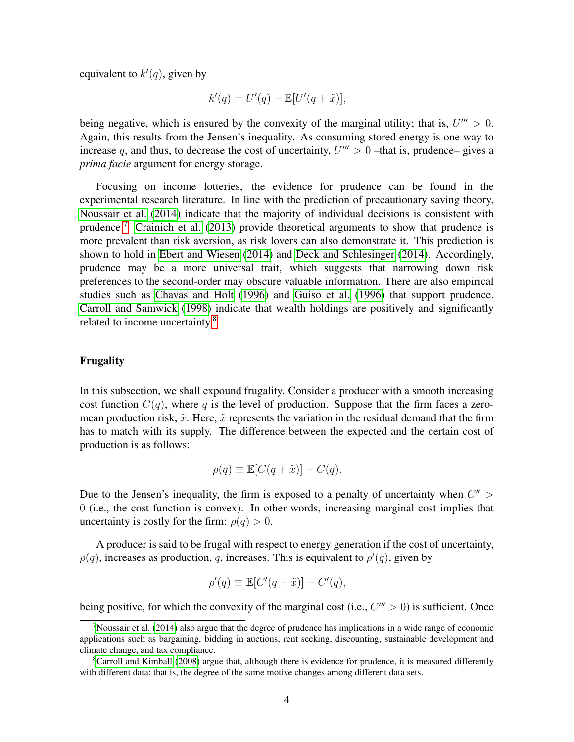equivalent to  $k'(q)$ , given by

$$
k'(q) = U'(q) - \mathbb{E}[U'(q + \tilde{x})],
$$

being negative, which is ensured by the convexity of the marginal utility; that is,  $U''' > 0$ . Again, this results from the Jensen's inequality. As consuming stored energy is one way to increase q, and thus, to decrease the cost of uncertainty,  $U''' > 0$  –that is, prudence– gives a *prima facie* argument for energy storage.

Focusing on income lotteries, the evidence for prudence can be found in the experimental research literature. In line with the prediction of precautionary saving theory, [Noussair et al.](#page-33-3) [\(2014\)](#page-33-3) indicate that the majority of individual decisions is consistent with prudence.<sup>[7](#page-3-0)</sup> [Crainich et al.](#page-30-0) [\(2013\)](#page-30-0) provide theoretical arguments to show that prudence is more prevalent than risk aversion, as risk lovers can also demonstrate it. This prediction is shown to hold in [Ebert and Wiesen](#page-31-2) [\(2014\)](#page-31-2) and [Deck and Schlesinger](#page-31-3) [\(2014\)](#page-31-3). Accordingly, prudence may be a more universal trait, which suggests that narrowing down risk preferences to the second-order may obscure valuable information. There are also empirical studies such as [Chavas and Holt](#page-30-1) [\(1996\)](#page-30-1) and [Guiso et al.](#page-31-4) [\(1996\)](#page-31-4) that support prudence. [Carroll and Samwick](#page-30-2) [\(1998\)](#page-30-2) indicate that wealth holdings are positively and significantly related to income uncertainty.[8](#page-3-1)

#### Frugality

In this subsection, we shall expound frugality. Consider a producer with a smooth increasing cost function  $C(q)$ , where q is the level of production. Suppose that the firm faces a zeromean production risk,  $\tilde{x}$ . Here,  $\tilde{x}$  represents the variation in the residual demand that the firm has to match with its supply. The difference between the expected and the certain cost of production is as follows:

$$
\rho(q) \equiv \mathbb{E}[C(q + \tilde{x})] - C(q).
$$

Due to the Jensen's inequality, the firm is exposed to a penalty of uncertainty when  $C'' > C$ 0 (i.e., the cost function is convex). In other words, increasing marginal cost implies that uncertainty is costly for the firm:  $\rho(q) > 0$ .

A producer is said to be frugal with respect to energy generation if the cost of uncertainty,  $\rho(q)$ , increases as production, q, increases. This is equivalent to  $\rho'(q)$ , given by

$$
\rho'(q) \equiv \mathbb{E}[C'(q+\tilde{x})] - C'(q),
$$

being positive, for which the convexity of the marginal cost (i.e.,  $C''' > 0$ ) is sufficient. Once

<span id="page-3-0"></span><sup>&</sup>lt;sup>7</sup>[Noussair et al.](#page-33-3) [\(2014\)](#page-33-3) also argue that the degree of prudence has implications in a wide range of economic applications such as bargaining, bidding in auctions, rent seeking, discounting, sustainable development and climate change, and tax compliance.

<span id="page-3-1"></span><sup>&</sup>lt;sup>8</sup>[Carroll and Kimball](#page-30-3) [\(2008\)](#page-30-3) argue that, although there is evidence for prudence, it is measured differently with different data; that is, the degree of the same motive changes among different data sets.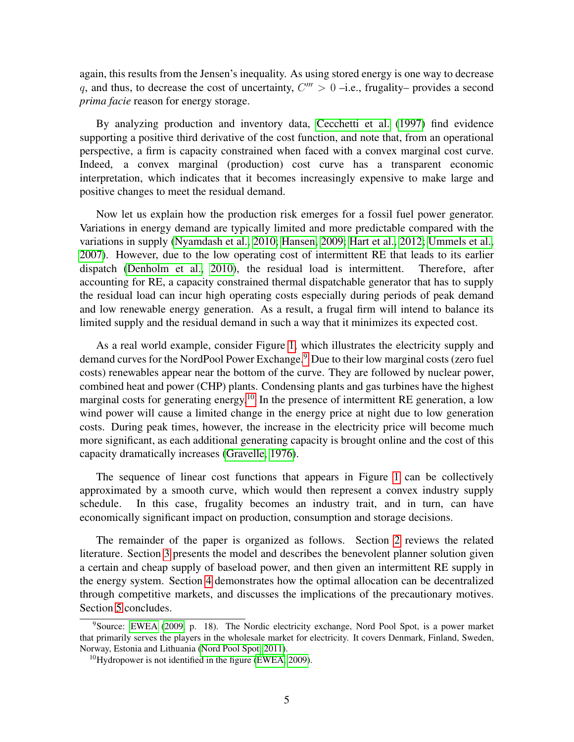again, this results from the Jensen's inequality. As using stored energy is one way to decrease q, and thus, to decrease the cost of uncertainty,  $C''' > 0$  -i.e., frugality– provides a second *prima facie* reason for energy storage.

By analyzing production and inventory data, [Cecchetti et al.](#page-30-4) [\(1997\)](#page-30-4) find evidence supporting a positive third derivative of the cost function, and note that, from an operational perspective, a firm is capacity constrained when faced with a convex marginal cost curve. Indeed, a convex marginal (production) cost curve has a transparent economic interpretation, which indicates that it becomes increasingly expensive to make large and positive changes to meet the residual demand.

Now let us explain how the production risk emerges for a fossil fuel power generator. Variations in energy demand are typically limited and more predictable compared with the variations in supply [\(Nyamdash et al., 2010;](#page-33-4) [Hansen, 2009;](#page-31-5) [Hart et al., 2012;](#page-32-2) [Ummels et al.,](#page-33-5) [2007\)](#page-33-5). However, due to the low operating cost of intermittent RE that leads to its earlier dispatch [\(Denholm et al., 2010\)](#page-31-6), the residual load is intermittent. Therefore, after accounting for RE, a capacity constrained thermal dispatchable generator that has to supply the residual load can incur high operating costs especially during periods of peak demand and low renewable energy generation. As a result, a frugal firm will intend to balance its limited supply and the residual demand in such a way that it minimizes its expected cost.

As a real world example, consider Figure [1,](#page-5-0) which illustrates the electricity supply and demand curves for the NordPool Power Exchange.<sup>[9](#page-4-0)</sup> Due to their low marginal costs (zero fuel costs) renewables appear near the bottom of the curve. They are followed by nuclear power, combined heat and power (CHP) plants. Condensing plants and gas turbines have the highest marginal costs for generating energy.<sup>[10](#page-4-1)</sup> In the presence of intermittent RE generation, a low wind power will cause a limited change in the energy price at night due to low generation costs. During peak times, however, the increase in the electricity price will become much more significant, as each additional generating capacity is brought online and the cost of this capacity dramatically increases [\(Gravelle, 1976\)](#page-31-7).

The sequence of linear cost functions that appears in Figure [1](#page-5-0) can be collectively approximated by a smooth curve, which would then represent a convex industry supply schedule. In this case, frugality becomes an industry trait, and in turn, can have economically significant impact on production, consumption and storage decisions.

The remainder of the paper is organized as follows. Section [2](#page-5-1) reviews the related literature. Section [3](#page-8-0) presents the model and describes the benevolent planner solution given a certain and cheap supply of baseload power, and then given an intermittent RE supply in the energy system. Section [4](#page-16-0) demonstrates how the optimal allocation can be decentralized through competitive markets, and discusses the implications of the precautionary motives. Section [5](#page-22-0) concludes.

<span id="page-4-0"></span><sup>9</sup>Source: [EWEA](#page-31-8) [\(2009,](#page-31-8) p. 18). The Nordic electricity exchange, Nord Pool Spot, is a power market that primarily serves the players in the wholesale market for electricity. It covers Denmark, Finland, Sweden, Norway, Estonia and Lithuania [\(Nord Pool Spot, 2011\)](#page-33-6).

<span id="page-4-1"></span> $10$ Hydropower is not identified in the figure [\(EWEA, 2009\)](#page-31-8).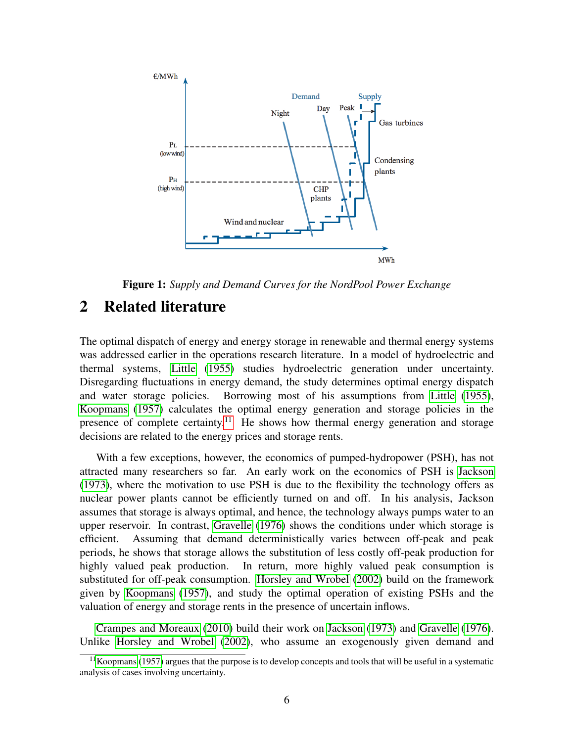<span id="page-5-0"></span>

Figure 1: *Supply and Demand Curves for the NordPool Power Exchange*

# <span id="page-5-1"></span>2 Related literature

The optimal dispatch of energy and energy storage in renewable and thermal energy systems was addressed earlier in the operations research literature. In a model of hydroelectric and thermal systems, [Little](#page-32-3) [\(1955\)](#page-32-3) studies hydroelectric generation under uncertainty. Disregarding fluctuations in energy demand, the study determines optimal energy dispatch and water storage policies. Borrowing most of his assumptions from [Little](#page-32-3) [\(1955\)](#page-32-3), [Koopmans](#page-32-4) [\(1957\)](#page-32-4) calculates the optimal energy generation and storage policies in the presence of complete certainty.<sup>[11](#page-5-2)</sup> He shows how thermal energy generation and storage decisions are related to the energy prices and storage rents.

With a few exceptions, however, the economics of pumped-hydropower (PSH), has not attracted many researchers so far. An early work on the economics of PSH is [Jackson](#page-32-5) [\(1973\)](#page-32-5), where the motivation to use PSH is due to the flexibility the technology offers as nuclear power plants cannot be efficiently turned on and off. In his analysis, Jackson assumes that storage is always optimal, and hence, the technology always pumps water to an upper reservoir. In contrast, [Gravelle](#page-31-7) [\(1976\)](#page-31-7) shows the conditions under which storage is efficient. Assuming that demand deterministically varies between off-peak and peak periods, he shows that storage allows the substitution of less costly off-peak production for highly valued peak production. In return, more highly valued peak consumption is substituted for off-peak consumption. [Horsley and Wrobel](#page-32-6) [\(2002\)](#page-32-6) build on the framework given by [Koopmans](#page-32-4) [\(1957\)](#page-32-4), and study the optimal operation of existing PSHs and the valuation of energy and storage rents in the presence of uncertain inflows.

[Crampes and Moreaux](#page-31-9) [\(2010\)](#page-31-9) build their work on [Jackson](#page-32-5) [\(1973\)](#page-32-5) and [Gravelle](#page-31-7) [\(1976\)](#page-31-7). Unlike [Horsley and Wrobel](#page-32-6) [\(2002\)](#page-32-6), who assume an exogenously given demand and

<span id="page-5-2"></span> $11$ [Koopmans](#page-32-4) [\(1957\)](#page-32-4) argues that the purpose is to develop concepts and tools that will be useful in a systematic analysis of cases involving uncertainty.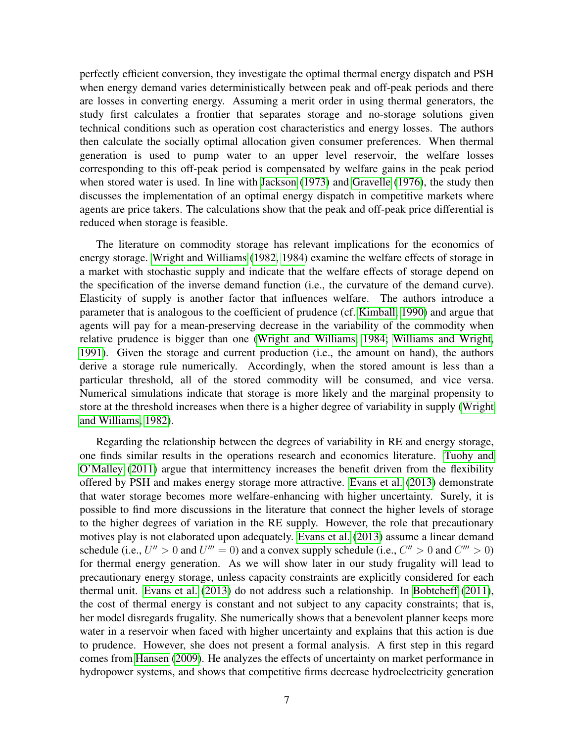perfectly efficient conversion, they investigate the optimal thermal energy dispatch and PSH when energy demand varies deterministically between peak and off-peak periods and there are losses in converting energy. Assuming a merit order in using thermal generators, the study first calculates a frontier that separates storage and no-storage solutions given technical conditions such as operation cost characteristics and energy losses. The authors then calculate the socially optimal allocation given consumer preferences. When thermal generation is used to pump water to an upper level reservoir, the welfare losses corresponding to this off-peak period is compensated by welfare gains in the peak period when stored water is used. In line with [Jackson](#page-32-5) [\(1973\)](#page-32-5) and [Gravelle](#page-31-7) [\(1976\)](#page-31-7), the study then discusses the implementation of an optimal energy dispatch in competitive markets where agents are price takers. The calculations show that the peak and off-peak price differential is reduced when storage is feasible.

The literature on commodity storage has relevant implications for the economics of energy storage. [Wright and Williams](#page-34-0) [\(1982,](#page-34-0) [1984\)](#page-34-1) examine the welfare effects of storage in a market with stochastic supply and indicate that the welfare effects of storage depend on the specification of the inverse demand function (i.e., the curvature of the demand curve). Elasticity of supply is another factor that influences welfare. The authors introduce a parameter that is analogous to the coefficient of prudence (cf. [Kimball, 1990\)](#page-32-7) and argue that agents will pay for a mean-preserving decrease in the variability of the commodity when relative prudence is bigger than one [\(Wright and Williams, 1984;](#page-34-1) [Williams and Wright,](#page-33-7) [1991\)](#page-33-7). Given the storage and current production (i.e., the amount on hand), the authors derive a storage rule numerically. Accordingly, when the stored amount is less than a particular threshold, all of the stored commodity will be consumed, and vice versa. Numerical simulations indicate that storage is more likely and the marginal propensity to store at the threshold increases when there is a higher degree of variability in supply [\(Wright](#page-34-0) [and Williams, 1982\)](#page-34-0).

Regarding the relationship between the degrees of variability in RE and energy storage, one finds similar results in the operations research and economics literature. [Tuohy and](#page-33-8) [O'Malley](#page-33-8) [\(2011\)](#page-33-8) argue that intermittency increases the benefit driven from the flexibility offered by PSH and makes energy storage more attractive. [Evans et al.](#page-31-10) [\(2013\)](#page-31-10) demonstrate that water storage becomes more welfare-enhancing with higher uncertainty. Surely, it is possible to find more discussions in the literature that connect the higher levels of storage to the higher degrees of variation in the RE supply. However, the role that precautionary motives play is not elaborated upon adequately. [Evans et al.](#page-31-10) [\(2013\)](#page-31-10) assume a linear demand schedule (i.e.,  $U'' > 0$  and  $U''' = 0$ ) and a convex supply schedule (i.e.,  $C'' > 0$  and  $C''' > 0$ ) for thermal energy generation. As we will show later in our study frugality will lead to precautionary energy storage, unless capacity constraints are explicitly considered for each thermal unit. [Evans et al.](#page-31-10) [\(2013\)](#page-31-10) do not address such a relationship. In [Bobtcheff](#page-30-5) [\(2011\)](#page-30-5), the cost of thermal energy is constant and not subject to any capacity constraints; that is, her model disregards frugality. She numerically shows that a benevolent planner keeps more water in a reservoir when faced with higher uncertainty and explains that this action is due to prudence. However, she does not present a formal analysis. A first step in this regard comes from [Hansen](#page-31-5) [\(2009\)](#page-31-5). He analyzes the effects of uncertainty on market performance in hydropower systems, and shows that competitive firms decrease hydroelectricity generation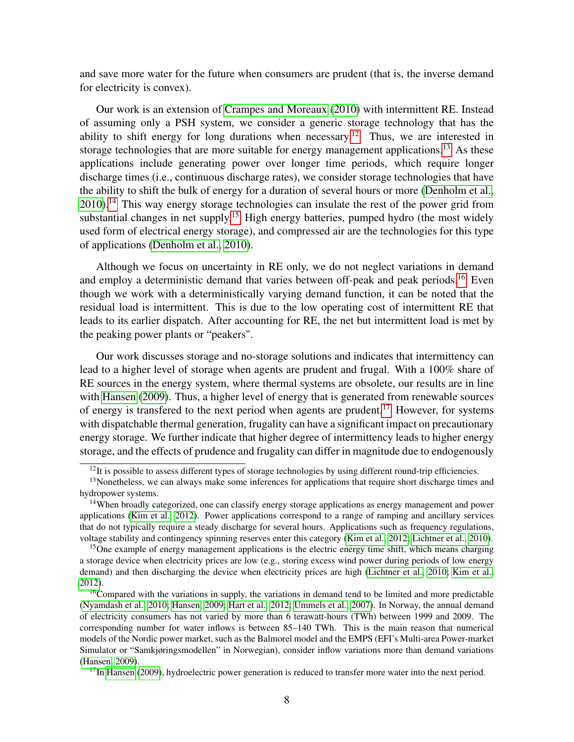and save more water for the future when consumers are prudent (that is, the inverse demand for electricity is convex).

Our work is an extension of [Crampes and Moreaux](#page-31-9) [\(2010\)](#page-31-9) with intermittent RE. Instead of assuming only a PSH system, we consider a generic storage technology that has the ability to shift energy for long durations when necessary.<sup>[12](#page-7-0)</sup> Thus, we are interested in storage technologies that are more suitable for energy management applications.<sup>[13](#page-7-1)</sup> As these applications include generating power over longer time periods, which require longer discharge times (i.e., continuous discharge rates), we consider storage technologies that have the ability to shift the bulk of energy for a duration of several hours or more [\(Denholm et al.,](#page-31-6) [2010\)](#page-31-6).[14](#page-7-2) This way energy storage technologies can insulate the rest of the power grid from substantial changes in net supply.<sup>[15](#page-7-3)</sup> High energy batteries, pumped hydro (the most widely used form of electrical energy storage), and compressed air are the technologies for this type of applications [\(Denholm et al., 2010\)](#page-31-6).

Although we focus on uncertainty in RE only, we do not neglect variations in demand and employ a deterministic demand that varies between off-peak and peak periods.<sup>[16](#page-7-4)</sup> Even though we work with a deterministically varying demand function, it can be noted that the residual load is intermittent. This is due to the low operating cost of intermittent RE that leads to its earlier dispatch. After accounting for RE, the net but intermittent load is met by the peaking power plants or "peakers".

Our work discusses storage and no-storage solutions and indicates that intermittency can lead to a higher level of storage when agents are prudent and frugal. With a 100% share of RE sources in the energy system, where thermal systems are obsolete, our results are in line with [Hansen](#page-31-5) [\(2009\)](#page-31-5). Thus, a higher level of energy that is generated from renewable sources of energy is transfered to the next period when agents are prudent.<sup>[17](#page-7-5)</sup> However, for systems with dispatchable thermal generation, frugality can have a significant impact on precautionary energy storage. We further indicate that higher degree of intermittency leads to higher energy storage, and the effects of prudence and frugality can differ in magnitude due to endogenously

<span id="page-7-1"></span><span id="page-7-0"></span><sup>&</sup>lt;sup>12</sup>It is possible to assess different types of storage technologies by using different round-trip efficiencies.

<sup>&</sup>lt;sup>13</sup>Nonetheless, we can always make some inferences for applications that require short discharge times and hydropower systems.

<span id="page-7-2"></span> $14$ When broadly categorized, one can classify energy storage applications as energy management and power applications [\(Kim et al., 2012\)](#page-32-8). Power applications correspond to a range of ramping and ancillary services that do not typically require a steady discharge for several hours. Applications such as frequency regulations, voltage stability and contingency spinning reserves enter this category [\(Kim et al., 2012;](#page-32-8) [Lichtner et al., 2010\)](#page-32-9).

<span id="page-7-3"></span><sup>&</sup>lt;sup>15</sup>One example of energy management applications is the electric energy time shift, which means charging a storage device when electricity prices are low (e.g., storing excess wind power during periods of low energy demand) and then discharging the device when electricity prices are high [\(Lichtner et al., 2010;](#page-32-9) [Kim et al.,](#page-32-8) [2012\)](#page-32-8).

<span id="page-7-4"></span> $16$ Compared with the variations in supply, the variations in demand tend to be limited and more predictable [\(Nyamdash et al., 2010;](#page-33-4) [Hansen, 2009;](#page-31-5) [Hart et al., 2012;](#page-32-2) [Ummels et al., 2007\)](#page-33-5). In Norway, the annual demand of electricity consumers has not varied by more than 6 terawatt-hours (TWh) between 1999 and 2009. The corresponding number for water inflows is between 85–140 TWh. This is the main reason that numerical models of the Nordic power market, such as the Balmorel model and the EMPS (EFI's Multi-area Power-market Simulator or "Samkjøringsmodellen" in Norwegian), consider inflow variations more than demand variations [\(Hansen, 2009\)](#page-31-5).

<span id="page-7-5"></span> $17$ In [Hansen](#page-31-5) [\(2009\)](#page-31-5), hydroelectric power generation is reduced to transfer more water into the next period.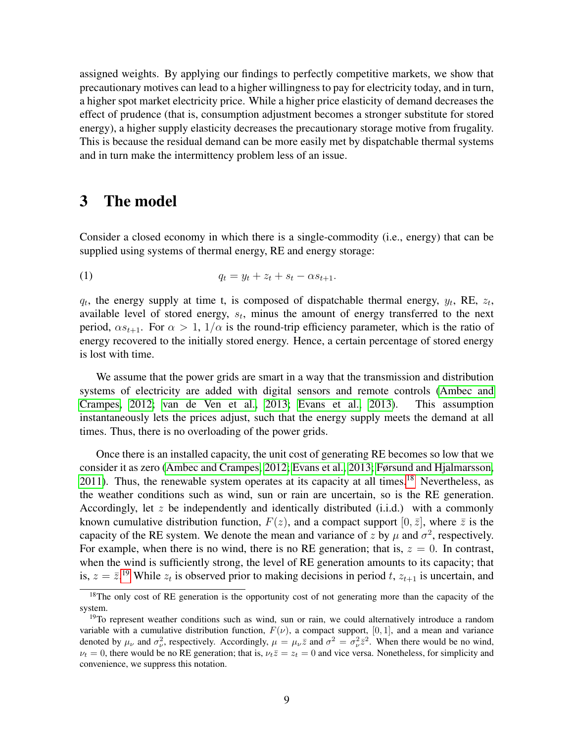assigned weights. By applying our findings to perfectly competitive markets, we show that precautionary motives can lead to a higher willingness to pay for electricity today, and in turn, a higher spot market electricity price. While a higher price elasticity of demand decreases the effect of prudence (that is, consumption adjustment becomes a stronger substitute for stored energy), a higher supply elasticity decreases the precautionary storage motive from frugality. This is because the residual demand can be more easily met by dispatchable thermal systems and in turn make the intermittency problem less of an issue.

### <span id="page-8-0"></span>3 The model

Consider a closed economy in which there is a single-commodity (i.e., energy) that can be supplied using systems of thermal energy, RE and energy storage:

(1) 
$$
q_t = y_t + z_t + s_t - \alpha s_{t+1}.
$$

 $q_t$ , the energy supply at time t, is composed of dispatchable thermal energy,  $y_t$ , RE,  $z_t$ , available level of stored energy,  $s_t$ , minus the amount of energy transferred to the next period,  $\alpha s_{t+1}$ . For  $\alpha > 1$ ,  $1/\alpha$  is the round-trip efficiency parameter, which is the ratio of energy recovered to the initially stored energy. Hence, a certain percentage of stored energy is lost with time.

We assume that the power grids are smart in a way that the transmission and distribution systems of electricity are added with digital sensors and remote controls [\(Ambec and](#page-30-6) [Crampes, 2012;](#page-30-6) [van de Ven et al., 2013;](#page-33-9) [Evans et al., 2013\)](#page-31-10). This assumption instantaneously lets the prices adjust, such that the energy supply meets the demand at all times. Thus, there is no overloading of the power grids.

Once there is an installed capacity, the unit cost of generating RE becomes so low that we consider it as zero [\(Ambec and Crampes, 2012;](#page-30-6) [Evans et al., 2013;](#page-31-10) [Førsund and Hjalmarsson,](#page-31-11) [2011\)](#page-31-11). Thus, the renewable system operates at its capacity at all times.<sup>[18](#page-8-1)</sup> Nevertheless, as the weather conditions such as wind, sun or rain are uncertain, so is the RE generation. Accordingly, let z be independently and identically distributed  $(i.i.d.)$  with a commonly known cumulative distribution function,  $F(z)$ , and a compact support  $[0, \bar{z}]$ , where  $\bar{z}$  is the capacity of the RE system. We denote the mean and variance of z by  $\mu$  and  $\sigma^2$ , respectively. For example, when there is no wind, there is no RE generation; that is,  $z = 0$ . In contrast, when the wind is sufficiently strong, the level of RE generation amounts to its capacity; that is,  $z = \bar{z}^{19}$  $z = \bar{z}^{19}$  $z = \bar{z}^{19}$  While  $z_t$  is observed prior to making decisions in period t,  $z_{t+1}$  is uncertain, and

<span id="page-8-1"></span><sup>&</sup>lt;sup>18</sup>The only cost of RE generation is the opportunity cost of not generating more than the capacity of the system.

<span id="page-8-2"></span><sup>&</sup>lt;sup>19</sup>To represent weather conditions such as wind, sun or rain, we could alternatively introduce a random variable with a cumulative distribution function,  $F(\nu)$ , a compact support, [0, 1], and a mean and variance denoted by  $\mu_{\nu}$  and  $\sigma_{\nu}^2$ , respectively. Accordingly,  $\mu = \mu_{\nu}\bar{z}$  and  $\sigma^2 = \sigma_{\nu}^2\bar{z}^2$ . When there would be no wind,  $\nu_t = 0$ , there would be no RE generation; that is,  $\nu_t \overline{z} = z_t = 0$  and vice versa. Nonetheless, for simplicity and convenience, we suppress this notation.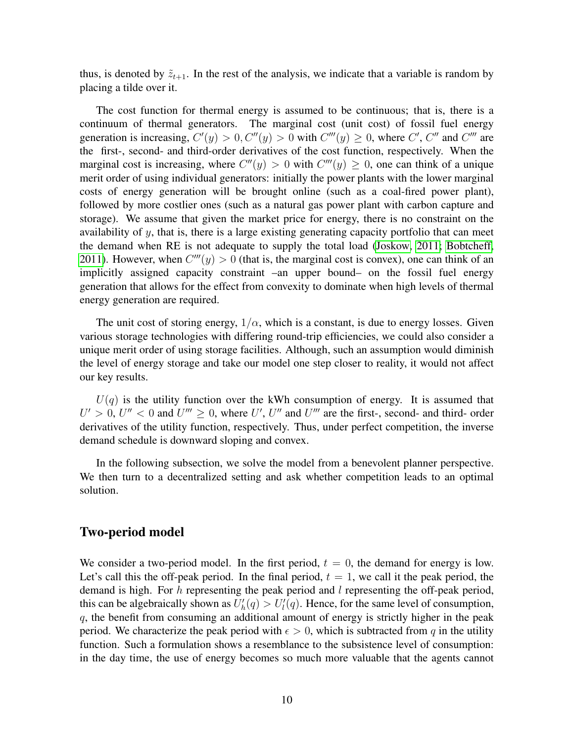thus, is denoted by  $\tilde{z}_{t+1}$ . In the rest of the analysis, we indicate that a variable is random by placing a tilde over it.

The cost function for thermal energy is assumed to be continuous; that is, there is a continuum of thermal generators. The marginal cost (unit cost) of fossil fuel energy generation is increasing,  $C'(y) > 0$ ,  $C''(y) > 0$  with  $C'''(y) \ge 0$ , where C', C'' and C''' are the first-, second- and third-order derivatives of the cost function, respectively. When the marginal cost is increasing, where  $C''(y) > 0$  with  $C'''(y) \ge 0$ , one can think of a unique merit order of using individual generators: initially the power plants with the lower marginal costs of energy generation will be brought online (such as a coal-fired power plant), followed by more costlier ones (such as a natural gas power plant with carbon capture and storage). We assume that given the market price for energy, there is no constraint on the availability of y, that is, there is a large existing generating capacity portfolio that can meet the demand when RE is not adequate to supply the total load [\(Joskow, 2011;](#page-32-10) [Bobtcheff,](#page-30-5) [2011\)](#page-30-5). However, when  $C'''(y) > 0$  (that is, the marginal cost is convex), one can think of an implicitly assigned capacity constraint –an upper bound– on the fossil fuel energy generation that allows for the effect from convexity to dominate when high levels of thermal energy generation are required.

The unit cost of storing energy,  $1/\alpha$ , which is a constant, is due to energy losses. Given various storage technologies with differing round-trip efficiencies, we could also consider a unique merit order of using storage facilities. Although, such an assumption would diminish the level of energy storage and take our model one step closer to reality, it would not affect our key results.

 $U(q)$  is the utility function over the kWh consumption of energy. It is assumed that  $U' > 0$ ,  $U'' < 0$  and  $U''' \ge 0$ , where U', U'' and U''' are the first-, second- and third- order derivatives of the utility function, respectively. Thus, under perfect competition, the inverse demand schedule is downward sloping and convex.

In the following subsection, we solve the model from a benevolent planner perspective. We then turn to a decentralized setting and ask whether competition leads to an optimal solution.

### Two-period model

We consider a two-period model. In the first period,  $t = 0$ , the demand for energy is low. Let's call this the off-peak period. In the final period,  $t = 1$ , we call it the peak period, the demand is high. For  $h$  representing the peak period and  $l$  representing the off-peak period, this can be algebraically shown as  $U_h'(q) > U_l'(q)$ . Hence, for the same level of consumption, q, the benefit from consuming an additional amount of energy is strictly higher in the peak period. We characterize the peak period with  $\epsilon > 0$ , which is subtracted from q in the utility function. Such a formulation shows a resemblance to the subsistence level of consumption: in the day time, the use of energy becomes so much more valuable that the agents cannot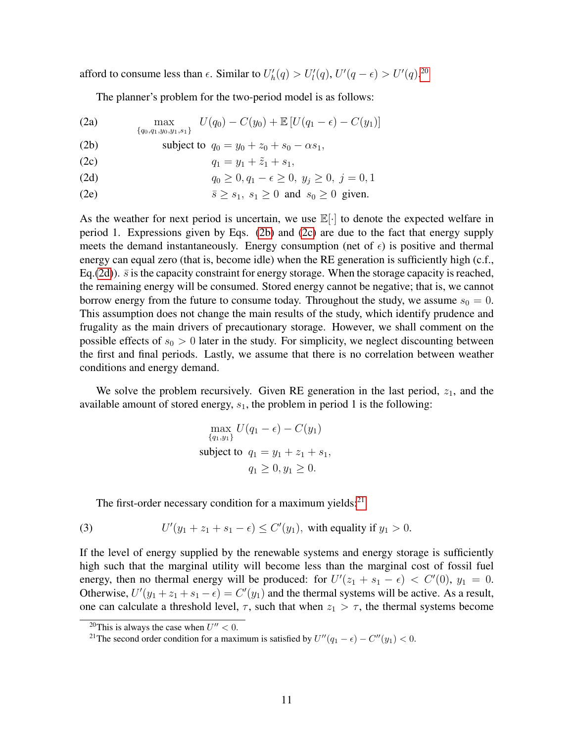afford to consume less than  $\epsilon$ . Similar to  $U'_h(q) > U'_l(q)$ ,  $U'(q - \epsilon) > U'(q)$ .<sup>[20](#page-10-0)</sup>

The planner's problem for the two-period model is as follows:

<span id="page-10-1"></span>(2a)  $\max_{\{q_0,q_1,y_0,y_1,s_1\}} U(q_0) - C(y_0) + \mathbb{E}[U(q_1 - \epsilon) - C(y_1)]$ (2b) subject to  $q_0 = y_0 + z_0 + s_0 - \alpha s_1$ ,

<span id="page-10-3"></span><span id="page-10-2"></span>(2c) 
$$
q_1 = y_1 + \tilde{z}_1 + s_1,
$$

(2d) 
$$
q_0 \ge 0, q_1 - \epsilon \ge 0, y_j \ge 0, j = 0, 1
$$

(2e) 
$$
\overline{s} \ge s_1, s_1 \ge 0
$$
 and  $s_0 \ge 0$  given.

As the weather for next period is uncertain, we use  $\mathbb{E}[\cdot]$  to denote the expected welfare in period 1. Expressions given by Eqs. [\(2b\)](#page-10-1) and [\(2c\)](#page-10-2) are due to the fact that energy supply meets the demand instantaneously. Energy consumption (net of  $\epsilon$ ) is positive and thermal energy can equal zero (that is, become idle) when the RE generation is sufficiently high (c.f., Eq.[\(2d\)](#page-10-3)).  $\bar{s}$  is the capacity constraint for energy storage. When the storage capacity is reached, the remaining energy will be consumed. Stored energy cannot be negative; that is, we cannot borrow energy from the future to consume today. Throughout the study, we assume  $s_0 = 0$ . This assumption does not change the main results of the study, which identify prudence and frugality as the main drivers of precautionary storage. However, we shall comment on the possible effects of  $s_0 > 0$  later in the study. For simplicity, we neglect discounting between the first and final periods. Lastly, we assume that there is no correlation between weather conditions and energy demand.

We solve the problem recursively. Given RE generation in the last period,  $z_1$ , and the available amount of stored energy,  $s<sub>1</sub>$ , the problem in period 1 is the following:

$$
\max_{\{q_1, y_1\}} U(q_1 - \epsilon) - C(y_1)
$$
  
subject to  $q_1 = y_1 + z_1 + s_1$ ,  
 $q_1 \ge 0, y_1 \ge 0$ .

The first-order necessary condition for a maximum yields: $21$ 

(3) 
$$
U'(y_1 + z_1 + s_1 - \epsilon) \leq C'(y_1), \text{ with equality if } y_1 > 0.
$$

If the level of energy supplied by the renewable systems and energy storage is sufficiently high such that the marginal utility will become less than the marginal cost of fossil fuel energy, then no thermal energy will be produced: for  $U'(z_1 + s_1 - \epsilon) < C'(0)$ ,  $y_1 = 0$ . Otherwise,  $U'(y_1 + z_1 + s_1 - \epsilon) = C'(y_1)$  and the thermal systems will be active. As a result, one can calculate a threshold level,  $\tau$ , such that when  $z_1 > \tau$ , the thermal systems become

<span id="page-10-0"></span><sup>&</sup>lt;sup>20</sup>This is always the case when  $U'' < 0$ .

<span id="page-10-4"></span><sup>&</sup>lt;sup>21</sup>The second order condition for a maximum is satisfied by  $U''(q_1 - \epsilon) - C''(y_1) < 0$ .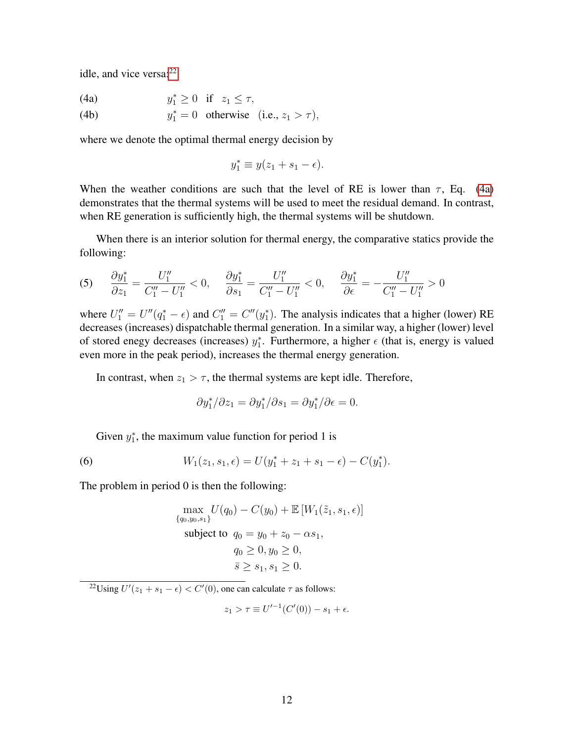<span id="page-11-4"></span>idle, and vice versa: $22$ 

<span id="page-11-1"></span>(4a)  $y_1^* \ge 0$  if  $z_1 \le \tau$ , (4b)  $y_1^* = 0$  otherwise (i.e.,  $z_1 > \tau$ ),

where we denote the optimal thermal energy decision by

$$
y_1^* \equiv y(z_1 + s_1 - \epsilon).
$$

When the weather conditions are such that the level of RE is lower than  $\tau$ , Eq. [\(4a\)](#page-11-1) demonstrates that the thermal systems will be used to meet the residual demand. In contrast, when RE generation is sufficiently high, the thermal systems will be shutdown.

When there is an interior solution for thermal energy, the comparative statics provide the following:

<span id="page-11-3"></span>
$$
(5) \qquad \frac{\partial y_1^*}{\partial z_1} = \frac{U_1''}{C_1'' - U_1''} < 0, \qquad \frac{\partial y_1^*}{\partial s_1} = \frac{U_1''}{C_1'' - U_1''} < 0, \qquad \frac{\partial y_1^*}{\partial \epsilon} = -\frac{U_1''}{C_1'' - U_1''} > 0
$$

where  $U_1'' = U''(q_1^* - \epsilon)$  and  $C_1'' = C''(y_1^*)$ . The analysis indicates that a higher (lower) RE decreases (increases) dispatchable thermal generation. In a similar way, a higher (lower) level of stored enegy decreases (increases)  $y_1^*$ . Furthermore, a higher  $\epsilon$  (that is, energy is valued even more in the peak period), increases the thermal energy generation.

In contrast, when  $z_1 > \tau$ , the thermal systems are kept idle. Therefore,

$$
\frac{\partial y_1^*}{\partial z_1} = \frac{\partial y_1^*}{\partial s_1} = \frac{\partial y_1^*}{\partial \epsilon} = 0.
$$

Given  $y_1^*$ , the maximum value function for period 1 is

<span id="page-11-2"></span>(6) 
$$
W_1(z_1,s_1,\epsilon) = U(y_1^* + z_1 + s_1 - \epsilon) - C(y_1^*).
$$

The problem in period 0 is then the following:

$$
\max_{\{q_0, y_0, s_1\}} U(q_0) - C(y_0) + \mathbb{E}\left[W_1(\tilde{z}_1, s_1, \epsilon)\right]
$$
  
subject to  $q_0 = y_0 + z_0 - \alpha s_1$ ,  
 $q_0 \ge 0, y_0 \ge 0$ ,  
 $\bar{s} \ge s_1, s_1 \ge 0$ .

<span id="page-11-0"></span><sup>22</sup>Using  $U'(z_1 + s_1 - \epsilon) < C'(0)$ , one can calculate  $\tau$  as follows:

$$
z_1 > \tau \equiv U'^{-1}(C'(0)) - s_1 + \epsilon.
$$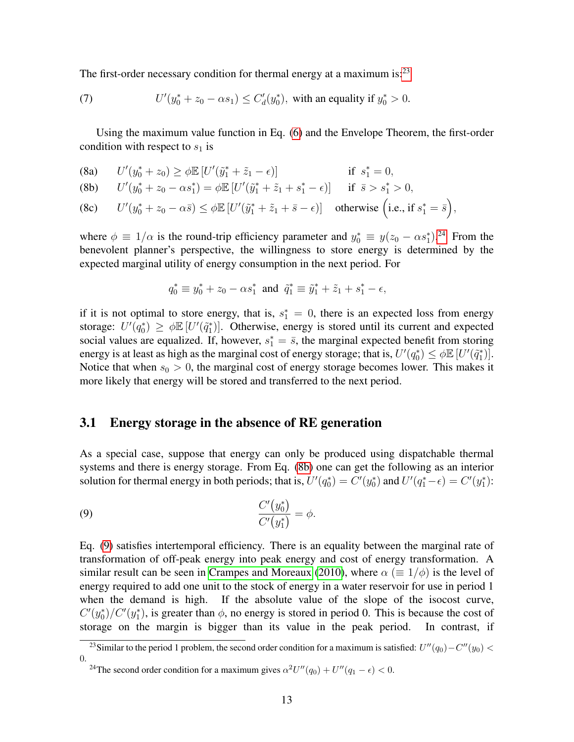The first-order necessary condition for thermal energy at a maximum is:<sup>[23](#page-12-0)</sup>

<span id="page-12-4"></span>(7) 
$$
U'(y_0^* + z_0 - \alpha s_1) \le C'_d(y_0^*),
$$
 with an equality if  $y_0^* > 0$ .

Using the maximum value function in Eq. [\(6\)](#page-11-2) and the Envelope Theorem, the first-order condition with respect to  $s_1$  is

(8a) 
$$
U'(y_0^* + z_0) \ge \phi \mathbb{E}[U'(\tilde{y}_1^* + \tilde{z}_1 - \epsilon)]
$$
 if  $s_1^* = 0$ ,

<span id="page-12-2"></span>(8b) 
$$
U'(y_0^* + z_0 - \alpha s_1^*) = \phi \mathbb{E} \left[ U'(\tilde{y}_1^* + \tilde{z}_1 + s_1^* - \epsilon) \right] \quad \text{if } \bar{s} > s_1^* > 0,
$$

(8c) 
$$
U'(y_0^* + z_0 - \alpha \bar{s}) \le \phi \mathbb{E}[U'(\tilde{y}_1^* + \tilde{z}_1 + \bar{s} - \epsilon)]
$$
 otherwise (i.e., if  $s_1^* = \bar{s}$ ),

where  $\phi \equiv 1/\alpha$  is the round-trip efficiency parameter and  $y_0^* \equiv y(z_0 - \alpha s_1^*)^{24}$  $y_0^* \equiv y(z_0 - \alpha s_1^*)^{24}$  $y_0^* \equiv y(z_0 - \alpha s_1^*)^{24}$  From the benevolent planner's perspective, the willingness to store energy is determined by the expected marginal utility of energy consumption in the next period. For

$$
q_0^* \equiv y_0^* + z_0 - \alpha s_1^* \text{ and } \tilde{q}_1^* \equiv \tilde{y}_1^* + \tilde{z}_1 + s_1^* - \epsilon,
$$

if it is not optimal to store energy, that is,  $s_1^* = 0$ , there is an expected loss from energy storage:  $U'(\bar{q}_0^*) \geq \phi \mathbb{E} [U'(\tilde{q}_1^*)]$ . Otherwise, energy is stored until its current and expected social values are equalized. If, however,  $s_1^* = \overline{s}$ , the marginal expected benefit from storing energy is at least as high as the marginal cost of energy storage; that is,  $U'(q_0^*) \leq \phi \mathbb{E}[U'(\tilde{q}_1^*)]$ . Notice that when  $s_0 > 0$ , the marginal cost of energy storage becomes lower. This makes it more likely that energy will be stored and transferred to the next period.

#### 3.1 Energy storage in the absence of RE generation

As a special case, suppose that energy can only be produced using dispatchable thermal systems and there is energy storage. From Eq. [\(8b\)](#page-12-2) one can get the following as an interior solution for thermal energy in both periods; that is,  $U'(q_0^*) = C'(y_0^*)$  and  $U'(q_1^* - \epsilon) = C'(y_1^*)$ :

<span id="page-12-3"></span>
$$
\frac{C'(y_0^*)}{C'(y_1^*)} = \phi.
$$

Eq. [\(9\)](#page-12-3) satisfies intertemporal efficiency. There is an equality between the marginal rate of transformation of off-peak energy into peak energy and cost of energy transformation. A similar result can be seen in [Crampes and Moreaux](#page-31-9) [\(2010\)](#page-31-9), where  $\alpha \ (\equiv 1/\phi)$  is the level of energy required to add one unit to the stock of energy in a water reservoir for use in period 1 when the demand is high. If the absolute value of the slope of the isocost curve,  $C'(y_0^*)/C'(y_1^*)$ , is greater than  $\phi$ , no energy is stored in period 0. This is because the cost of storage on the margin is bigger than its value in the peak period. In contrast, if

<span id="page-12-0"></span><sup>&</sup>lt;sup>23</sup>Similar to the period 1 problem, the second order condition for a maximum is satisfied:  $U''(q_0) - C''(y_0) <$ 0.

<span id="page-12-1"></span><sup>&</sup>lt;sup>24</sup>The second order condition for a maximum gives  $\alpha^2 U''(q_0) + U''(q_1 - \epsilon) < 0$ .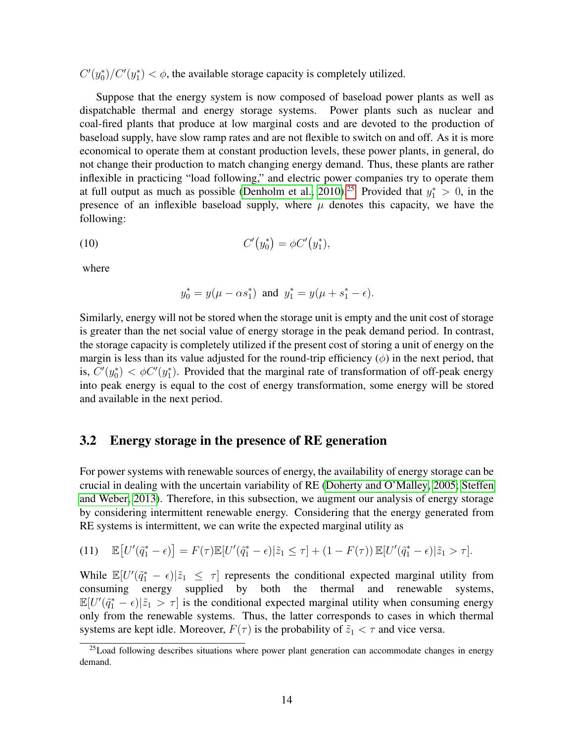$C'(y_0^*)/C'(y_1^*) < \phi$ , the available storage capacity is completely utilized.

Suppose that the energy system is now composed of baseload power plants as well as dispatchable thermal and energy storage systems. Power plants such as nuclear and coal-fired plants that produce at low marginal costs and are devoted to the production of baseload supply, have slow ramp rates and are not flexible to switch on and off. As it is more economical to operate them at constant production levels, these power plants, in general, do not change their production to match changing energy demand. Thus, these plants are rather inflexible in practicing "load following," and electric power companies try to operate them at full output as much as possible [\(Denholm et al., 2010\)](#page-31-6).<sup>[25](#page-13-0)</sup> Provided that  $y_1^* > 0$ , in the presence of an inflexible baseload supply, where  $\mu$  denotes this capacity, we have the following:

<span id="page-13-1"></span>(10) 
$$
C'(y_0^*) = \phi C'(y_1^*),
$$

where

$$
y_0^* = y(\mu - \alpha s_1^*)
$$
 and  $y_1^* = y(\mu + s_1^* - \epsilon)$ .

Similarly, energy will not be stored when the storage unit is empty and the unit cost of storage is greater than the net social value of energy storage in the peak demand period. In contrast, the storage capacity is completely utilized if the present cost of storing a unit of energy on the margin is less than its value adjusted for the round-trip efficiency  $(\phi)$  in the next period, that is,  $C'(y_0^*) < \phi C'(y_1^*)$ . Provided that the marginal rate of transformation of off-peak energy into peak energy is equal to the cost of energy transformation, some energy will be stored and available in the next period.

### 3.2 Energy storage in the presence of RE generation

For power systems with renewable sources of energy, the availability of energy storage can be crucial in dealing with the uncertain variability of RE [\(Doherty and O'Malley, 2005;](#page-31-12) [Steffen](#page-33-2) [and Weber, 2013\)](#page-33-2). Therefore, in this subsection, we augment our analysis of energy storage by considering intermittent renewable energy. Considering that the energy generated from RE systems is intermittent, we can write the expected marginal utility as

<span id="page-13-2"></span>(11) 
$$
\mathbb{E}\big[U'(\tilde{q}_1^*-\epsilon)\big] = F(\tau)\mathbb{E}[U'(\tilde{q}_1^*-\epsilon)|\tilde{z}_1 \leq \tau] + (1-F(\tau))\mathbb{E}[U'(\tilde{q}_1^*-\epsilon)|\tilde{z}_1 > \tau].
$$

While  $\mathbb{E}[U'(\tilde{q}_1^* - \epsilon)|\tilde{z}_1 \leq \tau]$  represents the conditional expected marginal utility from consuming energy supplied by both the thermal and renewable systems,  $\mathbb{E}[U'(\tilde{q}_1^*-\epsilon)|\tilde{z}_1 > \tau]$  is the conditional expected marginal utility when consuming energy only from the renewable systems. Thus, the latter corresponds to cases in which thermal systems are kept idle. Moreover,  $F(\tau)$  is the probability of  $\tilde{z}_1 < \tau$  and vice versa.

<span id="page-13-0"></span><sup>&</sup>lt;sup>25</sup>Load following describes situations where power plant generation can accommodate changes in energy demand.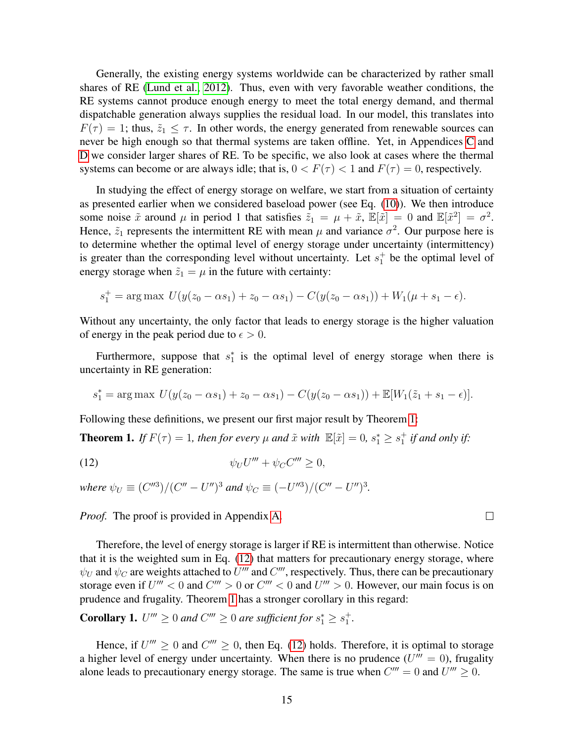Generally, the existing energy systems worldwide can be characterized by rather small shares of RE [\(Lund et al., 2012\)](#page-32-11). Thus, even with very favorable weather conditions, the RE systems cannot produce enough energy to meet the total energy demand, and thermal dispatchable generation always supplies the residual load. In our model, this translates into  $F(\tau) = 1$ ; thus,  $\tilde{z}_1 \leq \tau$ . In other words, the energy generated from renewable sources can never be high enough so that thermal systems are taken offline. Yet, in Appendices [C](#page-27-0) and [D](#page-28-0) we consider larger shares of RE. To be specific, we also look at cases where the thermal systems can become or are always idle; that is,  $0 < F(\tau) < 1$  and  $F(\tau) = 0$ , respectively.

In studying the effect of energy storage on welfare, we start from a situation of certainty as presented earlier when we considered baseload power (see Eq. [\(10\)](#page-13-1)). We then introduce some noise  $\tilde{x}$  around  $\mu$  in period 1 that satisfies  $\tilde{z}_1 = \mu + \tilde{x}$ ,  $\mathbb{E}[\tilde{x}] = 0$  and  $\mathbb{E}[\tilde{x}^2] = \sigma^2$ . Hence,  $\tilde{z}_1$  represents the intermittent RE with mean  $\mu$  and variance  $\sigma^2$ . Our purpose here is to determine whether the optimal level of energy storage under uncertainty (intermittency) is greater than the corresponding level without uncertainty. Let  $s_1^+$  be the optimal level of energy storage when  $\tilde{z}_1 = \mu$  in the future with certainty:

$$
s_1^+ = \arg \max \ U(y(z_0 - \alpha s_1) + z_0 - \alpha s_1) - C(y(z_0 - \alpha s_1)) + W_1(\mu + s_1 - \epsilon).
$$

Without any uncertainty, the only factor that leads to energy storage is the higher valuation of energy in the peak period due to  $\epsilon > 0$ .

Furthermore, suppose that  $s_1^*$  is the optimal level of energy storage when there is uncertainty in RE generation:

$$
s_1^* = \arg \max U(y(z_0 - \alpha s_1) + z_0 - \alpha s_1) - C(y(z_0 - \alpha s_1)) + \mathbb{E}[W_1(\tilde{z}_1 + s_1 - \epsilon)].
$$

Following these definitions, we present our first major result by Theorem [1:](#page-14-0)

<span id="page-14-0"></span>**Theorem 1.** If  $F(\tau) = 1$ , then for every  $\mu$  and  $\tilde{x}$  with  $\mathbb{E}[\tilde{x}] = 0$ ,  $s_1^* \geq s_1^+$  if and only if:

<span id="page-14-1"></span>
$$
\psi_U U''' + \psi_C C''' \ge 0,
$$

*where*  $\psi_U \equiv (C''^3)/(C'' - U'')^3$  *and*  $\psi_C \equiv (-U''^3)/(C'' - U'')^3$ .

*Proof.* The proof is provided in Appendix [A.](#page-25-0)

Therefore, the level of energy storage is larger if RE is intermittent than otherwise. Notice that it is the weighted sum in Eq. [\(12\)](#page-14-1) that matters for precautionary energy storage, where  $\psi_U$  and  $\psi_C$  are weights attached to U''' and C'''', respectively. Thus, there can be precautionary storage even if  $U''' < 0$  and  $C''' > 0$  or  $C''' < 0$  and  $U''' > 0$ . However, our main focus is on prudence and frugality. Theorem [1](#page-14-0) has a stronger corollary in this regard:

**Corollary 1.**  $U''' \ge 0$  and  $C''' \ge 0$  are sufficient for  $s_1^* \ge s_1^+$ .

Hence, if  $U''' \ge 0$  and  $C''' \ge 0$ , then Eq. [\(12\)](#page-14-1) holds. Therefore, it is optimal to storage a higher level of energy under uncertainty. When there is no prudence  $(U''' = 0)$ , frugality alone leads to precautionary energy storage. The same is true when  $C''' = 0$  and  $U''' \ge 0$ .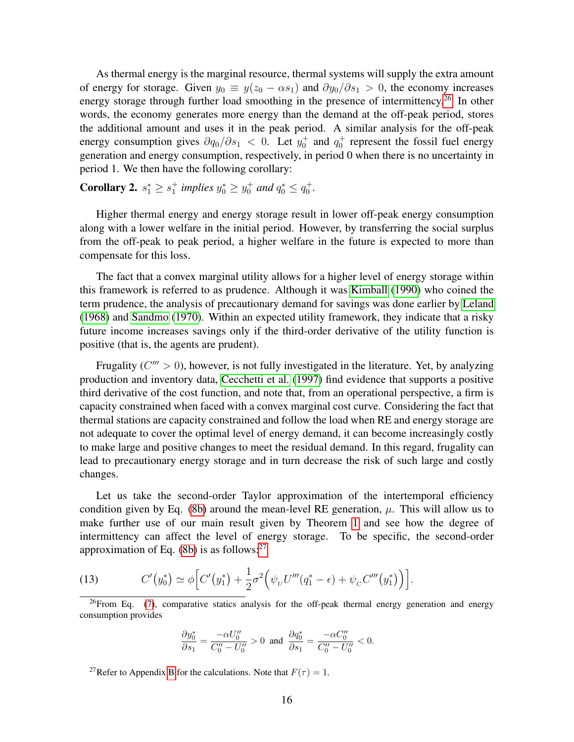As thermal energy is the marginal resource, thermal systems will supply the extra amount of energy for storage. Given  $y_0 \equiv y(z_0 - \alpha s_1)$  and  $\partial y_0/\partial s_1 > 0$ , the economy increases energy storage through further load smoothing in the presence of intermittency.<sup>[26](#page-15-0)</sup> In other words, the economy generates more energy than the demand at the off-peak period, stores the additional amount and uses it in the peak period. A similar analysis for the off-peak energy consumption gives  $\partial q_0/\partial s_1$  < 0. Let  $y_0^+$  and  $q_0^+$  represent the fossil fuel energy generation and energy consumption, respectively, in period 0 when there is no uncertainty in period 1. We then have the following corollary:

<span id="page-15-3"></span>**Corollary 2.**  $s_1^* \geq s_1^+$  implies  $y_0^* \geq y_0^+$  and  $q_0^* \leq q_0^+$ .

Higher thermal energy and energy storage result in lower off-peak energy consumption along with a lower welfare in the initial period. However, by transferring the social surplus from the off-peak to peak period, a higher welfare in the future is expected to more than compensate for this loss.

The fact that a convex marginal utility allows for a higher level of energy storage within this framework is referred to as prudence. Although it was [Kimball](#page-32-7) [\(1990\)](#page-32-7) who coined the term prudence, the analysis of precautionary demand for savings was done earlier by [Leland](#page-32-12) [\(1968\)](#page-32-12) and [Sandmo](#page-33-10) [\(1970\)](#page-33-10). Within an expected utility framework, they indicate that a risky future income increases savings only if the third-order derivative of the utility function is positive (that is, the agents are prudent).

Frugality ( $C''' > 0$ ), however, is not fully investigated in the literature. Yet, by analyzing production and inventory data, [Cecchetti et al.](#page-30-4) [\(1997\)](#page-30-4) find evidence that supports a positive third derivative of the cost function, and note that, from an operational perspective, a firm is capacity constrained when faced with a convex marginal cost curve. Considering the fact that thermal stations are capacity constrained and follow the load when RE and energy storage are not adequate to cover the optimal level of energy demand, it can become increasingly costly to make large and positive changes to meet the residual demand. In this regard, frugality can lead to precautionary energy storage and in turn decrease the risk of such large and costly changes.

Let us take the second-order Taylor approximation of the intertemporal efficiency condition given by Eq. [\(8b\)](#page-12-2) around the mean-level RE generation,  $\mu$ . This will allow us to make further use of our main result given by Theorem [1](#page-14-0) and see how the degree of intermittency can affect the level of energy storage. To be specific, the second-order approximation of Eq.  $(8b)$  is as follows:<sup>[27](#page-15-1)</sup>

<span id="page-15-2"></span>(13) 
$$
C'(y_0^*) \simeq \phi \Big[C'(y_1^*) + \frac{1}{2}\sigma^2 \Big(\psi_U U'''(q_1^* - \epsilon) + \psi_C C'''(y_1^*)\Big)\Big].
$$

<span id="page-15-0"></span> $^{26}$ From Eq. [\(7\)](#page-12-4), comparative statics analysis for the off-peak thermal energy generation and energy consumption provides

$$
\frac{\partial y_0^*}{\partial s_1} = \frac{-\alpha U_0''}{C_0'' - U_0''} > 0 \text{ and } \frac{\partial q_0^*}{\partial s_1} = \frac{-\alpha C_0''}{C_0'' - U_0''} < 0.
$$

<span id="page-15-1"></span><sup>27</sup>Refer to Appendix [B](#page-26-0) for the calculations. Note that  $F(\tau) = 1$ .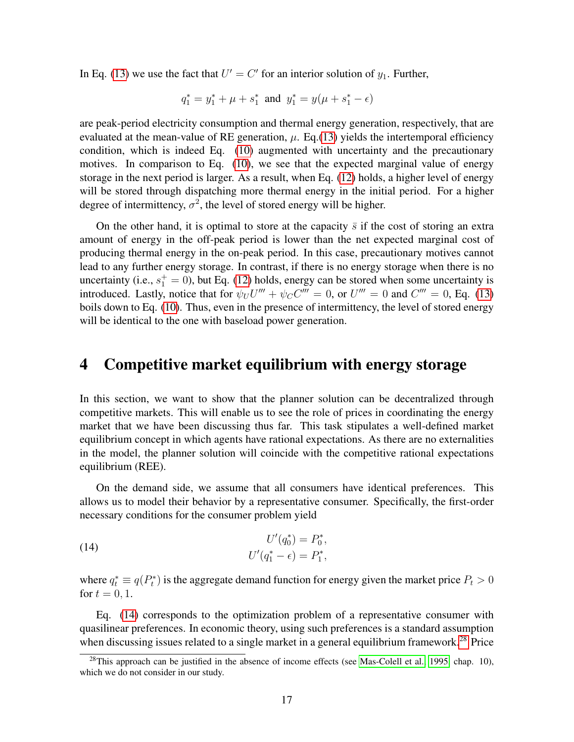In Eq. [\(13\)](#page-15-2) we use the fact that  $U' = C'$  for an interior solution of  $y_1$ . Further,

$$
q_1^*=y_1^*+\mu+s_1^* \text{ and } y_1^*=y(\mu+s_1^*-\epsilon)
$$

are peak-period electricity consumption and thermal energy generation, respectively, that are evaluated at the mean-value of RE generation,  $\mu$ . Eq.[\(13\)](#page-15-2) yields the intertemporal efficiency condition, which is indeed Eq. [\(10\)](#page-13-1) augmented with uncertainty and the precautionary motives. In comparison to Eq. [\(10\)](#page-13-1), we see that the expected marginal value of energy storage in the next period is larger. As a result, when Eq. [\(12\)](#page-14-1) holds, a higher level of energy will be stored through dispatching more thermal energy in the initial period. For a higher degree of intermittency,  $\sigma^2$ , the level of stored energy will be higher.

On the other hand, it is optimal to store at the capacity  $\bar{s}$  if the cost of storing an extra amount of energy in the off-peak period is lower than the net expected marginal cost of producing thermal energy in the on-peak period. In this case, precautionary motives cannot lead to any further energy storage. In contrast, if there is no energy storage when there is no uncertainty (i.e.,  $s_1^+ = 0$ ), but Eq. [\(12\)](#page-14-1) holds, energy can be stored when some uncertainty is introduced. Lastly, notice that for  $\psi_U U''' + \psi_C C''' = 0$ , or  $U''' = 0$  and  $C''' = 0$ , Eq. [\(13\)](#page-15-2) boils down to Eq. [\(10\)](#page-13-1). Thus, even in the presence of intermittency, the level of stored energy will be identical to the one with baseload power generation.

### <span id="page-16-0"></span>4 Competitive market equilibrium with energy storage

In this section, we want to show that the planner solution can be decentralized through competitive markets. This will enable us to see the role of prices in coordinating the energy market that we have been discussing thus far. This task stipulates a well-defined market equilibrium concept in which agents have rational expectations. As there are no externalities in the model, the planner solution will coincide with the competitive rational expectations equilibrium (REE).

On the demand side, we assume that all consumers have identical preferences. This allows us to model their behavior by a representative consumer. Specifically, the first-order necessary conditions for the consumer problem yield

<span id="page-16-1"></span>(14) 
$$
U'(q_0^*) = P_0^*,
$$

$$
U'(q_1^* - \epsilon) = P_1^*,
$$

where  $q_t^* \equiv q(P_t^*)$  is the aggregate demand function for energy given the market price  $P_t > 0$ for  $t = 0, 1$ .

Eq. [\(14\)](#page-16-1) corresponds to the optimization problem of a representative consumer with quasilinear preferences. In economic theory, using such preferences is a standard assumption when discussing issues related to a single market in a general equilibrium framework.<sup>[28](#page-16-2)</sup> Price

<span id="page-16-2"></span> $^{28}$ This approach can be justified in the absence of income effects (see [Mas-Colell et al., 1995,](#page-33-11) chap. 10), which we do not consider in our study.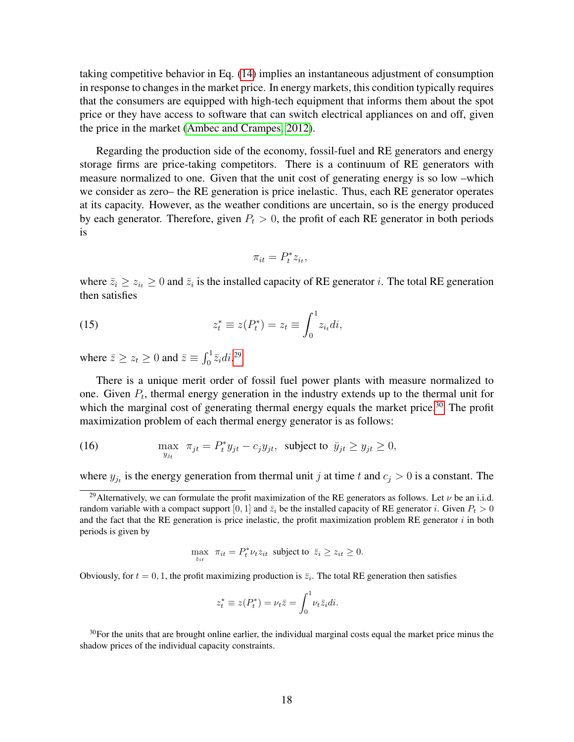taking competitive behavior in Eq. [\(14\)](#page-16-1) implies an instantaneous adjustment of consumption in response to changes in the market price. In energy markets, this condition typically requires that the consumers are equipped with high-tech equipment that informs them about the spot price or they have access to software that can switch electrical appliances on and off, given the price in the market [\(Ambec and Crampes, 2012\)](#page-30-6).

Regarding the production side of the economy, fossil-fuel and RE generators and energy storage firms are price-taking competitors. There is a continuum of RE generators with measure normalized to one. Given that the unit cost of generating energy is so low –which we consider as zero– the RE generation is price inelastic. Thus, each RE generator operates at its capacity. However, as the weather conditions are uncertain, so is the energy produced by each generator. Therefore, given  $P_t > 0$ , the profit of each RE generator in both periods is

<span id="page-17-2"></span>
$$
\pi_{it} = P_t^* z_{i_t},
$$

where  $\bar{z}_i \ge z_{i_t} \ge 0$  and  $\bar{z}_i$  is the installed capacity of RE generator *i*. The total RE generation then satisfies

(15) 
$$
z_t^* \equiv z(P_t^*) = z_t \equiv \int_0^1 z_{i_t} di,
$$

where  $\bar{z} \ge z_t \ge 0$  and  $\bar{z} \equiv \int_0^1 \bar{z}_i \, di$ .<sup>[29](#page-17-0)</sup>

There is a unique merit order of fossil fuel power plants with measure normalized to one. Given  $P_t$ , thermal energy generation in the industry extends up to the thermal unit for which the marginal cost of generating thermal energy equals the market price.<sup>[30](#page-17-1)</sup> The profit maximization problem of each thermal energy generator is as follows:

(16) 
$$
\max_{y_{jt}} \pi_{jt} = P_t^* y_{jt} - c_j y_{jt}, \text{ subject to } \bar{y}_{jt} \ge y_{jt} \ge 0,
$$

where  $y_{j_t}$  is the energy generation from thermal unit j at time t and  $c_j > 0$  is a constant. The

$$
\max_{z_{it}} \ \pi_{it} = P_t^* \nu_t z_{it} \ \text{subject to} \ \bar{z}_i \ge z_{it} \ge 0.
$$

Obviously, for  $t = 0, 1$ , the profit maximizing production is  $\overline{z_i}$ . The total RE generation then satisfies

$$
z_t^* \equiv z(P_t^*) = \nu_t \bar{z} = \int_0^1 \nu_t \bar{z}_i di.
$$

<span id="page-17-1"></span> $30$ For the units that are brought online earlier, the individual marginal costs equal the market price minus the shadow prices of the individual capacity constraints.

<span id="page-17-0"></span><sup>&</sup>lt;sup>29</sup>Alternatively, we can formulate the profit maximization of the RE generators as follows. Let  $\nu$  be an i.i.d. random variable with a compact support [0, 1] and  $\bar{z}_i$  be the installed capacity of RE generator i. Given  $P_t > 0$ and the fact that the RE generation is price inelastic, the profit maximization problem RE generator  $i$  in both periods is given by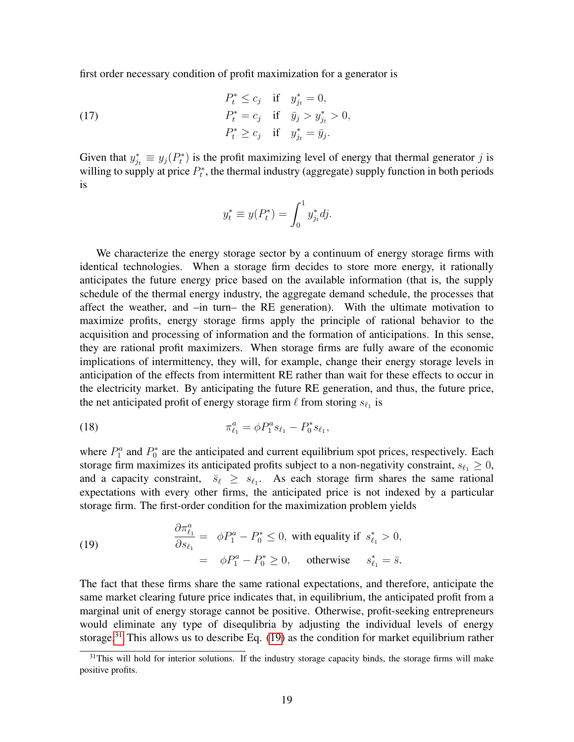first order necessary condition of profit maximization for a generator is

(17) 
$$
P_t^* \leq c_j \quad \text{if} \quad y_{j_t}^* = 0, P_t^* = c_j \quad \text{if} \quad \bar{y}_j > y_{j_t}^* > 0, P_t^* \geq c_j \quad \text{if} \quad y_{j_t}^* = \bar{y}_j.
$$

Given that  $y_{j_t}^* \equiv y_j(P_t^*)$  is the profit maximizing level of energy that thermal generator j is willing to supply at price  $P_t^*$ , the thermal industry (aggregate) supply function in both periods is

<span id="page-18-2"></span>
$$
y_t^* \equiv y(P_t^*) = \int_0^1 y_{j_t}^* dy.
$$

We characterize the energy storage sector by a continuum of energy storage firms with identical technologies. When a storage firm decides to store more energy, it rationally anticipates the future energy price based on the available information (that is, the supply schedule of the thermal energy industry, the aggregate demand schedule, the processes that affect the weather, and –in turn– the RE generation). With the ultimate motivation to maximize profits, energy storage firms apply the principle of rational behavior to the acquisition and processing of information and the formation of anticipations. In this sense, they are rational profit maximizers. When storage firms are fully aware of the economic implications of intermittency, they will, for example, change their energy storage levels in anticipation of the effects from intermittent RE rather than wait for these effects to occur in the electricity market. By anticipating the future RE generation, and thus, the future price, the net anticipated profit of energy storage firm  $\ell$  from storing  $s_{\ell_1}$  is

(18) 
$$
\pi_{\ell_1}^a = \phi P_1^a s_{\ell_1} - P_0^* s_{\ell_1},
$$

<span id="page-18-1"></span>∂π<sup>a</sup>

where  $P_1^a$  and  $P_0^*$  are the anticipated and current equilibrium spot prices, respectively. Each storage firm maximizes its anticipated profits subject to a non-negativity constraint,  $s_{\ell_1} \geq 0$ , and a capacity constraint,  $\bar{s}_{\ell} \geq s_{\ell_1}$ . As each storage firm shares the same rational expectations with every other firms, the anticipated price is not indexed by a particular storage firm. The first-order condition for the maximization problem yields

(19) 
$$
\begin{aligned}\n\frac{\partial \pi_{\ell_1}^a}{\partial s_{\ell_1}} &= \phi P_1^a - P_0^* \le 0, \text{ with equality if } s_{\ell_1}^* > 0, \\
&= \phi P_1^a - P_0^* \ge 0, \text{ otherwise } s_{\ell_1}^* = \bar{s}.\n\end{aligned}
$$

The fact that these firms share the same rational expectations, and therefore, anticipate the same market clearing future price indicates that, in equilibrium, the anticipated profit from a marginal unit of energy storage cannot be positive. Otherwise, profit-seeking entrepreneurs would eliminate any type of disequlibria by adjusting the individual levels of energy storage.<sup>[31](#page-18-0)</sup> This allows us to describe Eq.  $(19)$  as the condition for market equilibrium rather

<span id="page-18-0"></span> $31$ This will hold for interior solutions. If the industry storage capacity binds, the storage firms will make positive profits.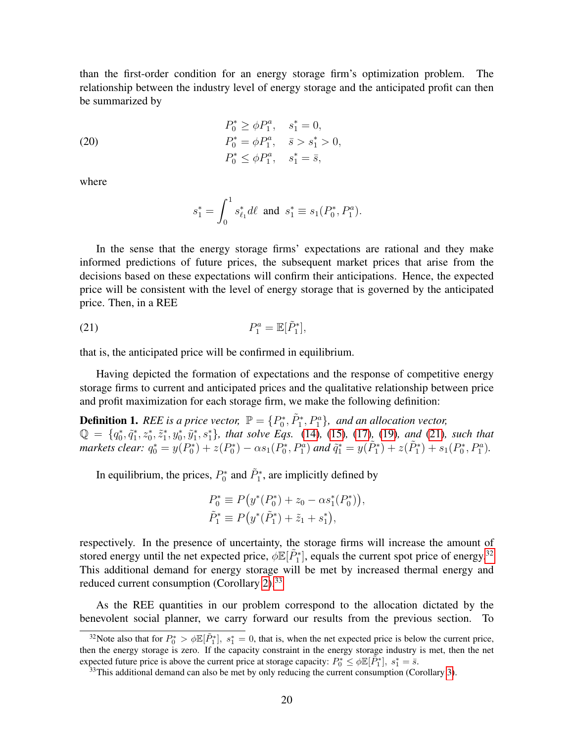than the first-order condition for an energy storage firm's optimization problem. The relationship between the industry level of energy storage and the anticipated profit can then be summarized by

(20) 
$$
P_0^* \ge \phi P_1^a, \quad s_1^* = 0,
$$

$$
P_0^* = \phi P_1^a, \quad \bar{s} > s_1^* > 0,
$$

$$
P_0^* \le \phi P_1^a, \quad s_1^* = \bar{s},
$$

where

<span id="page-19-0"></span>
$$
s_1^* = \int_0^1 s_{\ell_1}^* d\ell \text{ and } s_1^* \equiv s_1(P_0^*, P_1^a).
$$

In the sense that the energy storage firms' expectations are rational and they make informed predictions of future prices, the subsequent market prices that arise from the decisions based on these expectations will confirm their anticipations. Hence, the expected price will be consistent with the level of energy storage that is governed by the anticipated price. Then, in a REE

$$
P_1^a = \mathbb{E}[\tilde{P}_1^*],
$$

that is, the anticipated price will be confirmed in equilibrium.

Having depicted the formation of expectations and the response of competitive energy storage firms to current and anticipated prices and the qualitative relationship between price and profit maximization for each storage firm, we make the following definition:

**Definition 1.** REE is a price vector,  $\mathbb{P} = \{P_0^*, \tilde{P}_1^*, P_1^a\}$ , and an allocation vector,  $\mathbb{Q} = \{q_0^*, \tilde{q}_1^*, z_0^*, \tilde{z}_1^*, y_0^*, \tilde{y}_1^*, s_1^*\}$ , that solve Eqs. [\(14\)](#page-16-1), [\(15\)](#page-17-2), [\(17\)](#page-18-2)<sub>*,*</sub> [\(19\)](#page-18-1)*, and* [\(21\)](#page-19-0)*, such that markets clear:*  $q_0^* = y(P_0^*) + z(P_0^*) - \alpha s_1(P_0^*, P_1^a)$  *and*  $\tilde{q}_1^* = y(\tilde{P}_1^*) + z(\tilde{P}_1^*) + s_1(P_0^*, P_1^a)$ .

In equilibrium, the prices,  $P_0^*$  and  $\tilde{P}_1^*$ , are implicitly defined by

$$
P_0^* \equiv P(y^*(P_0^*) + z_0 - \alpha s_1^*(P_0^*)),
$$
  
\n
$$
\tilde{P}_1^* \equiv P(y^*(\tilde{P}_1^*) + \tilde{z}_1 + s_1^*),
$$

respectively. In the presence of uncertainty, the storage firms will increase the amount of stored energy until the net expected price,  $\phi \mathbb{E}[\tilde{P}_1^*]$ , equals the current spot price of energy.<sup>[32](#page-19-1)</sup> This additional demand for energy storage will be met by increased thermal energy and reduced current consumption (Corollary [2\)](#page-15-3).<sup>[33](#page-19-2)</sup>

As the REE quantities in our problem correspond to the allocation dictated by the benevolent social planner, we carry forward our results from the previous section. To

<span id="page-19-1"></span><sup>&</sup>lt;sup>32</sup>Note also that for  $P_0^* > \phi \mathbb{E}[\tilde{P}_1^*]$ ,  $s_1^* = 0$ , that is, when the net expected price is below the current price, then the energy storage is zero. If the capacity constraint in the energy storage industry is met, then the net expected future price is above the current price at storage capacity:  $P_0^* \leq \phi \mathbb{E}[\tilde{P}_1^*], s_1^* = \overline{s}$ .

<span id="page-19-2"></span> $33$ This additional demand can also be met by only reducing the current consumption (Corollary [3\)](#page-28-1).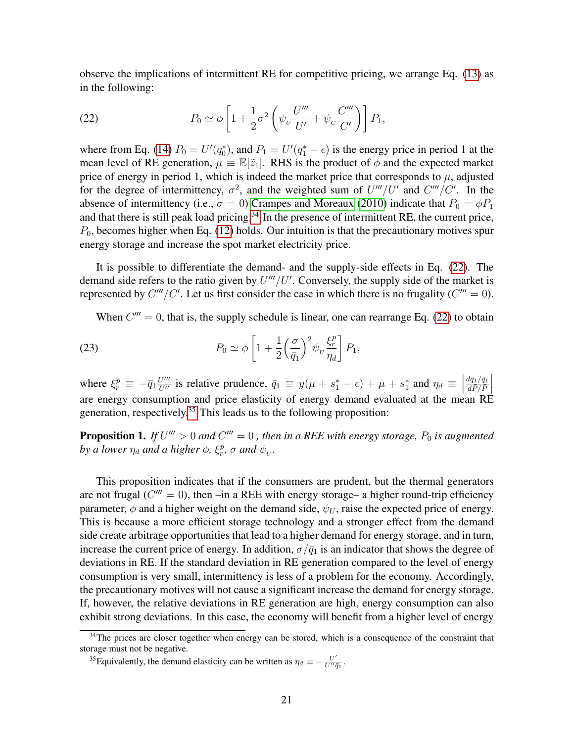observe the implications of intermittent RE for competitive pricing, we arrange Eq. [\(13\)](#page-15-2) as in the following:

<span id="page-20-1"></span>(22) 
$$
P_0 \simeq \phi \left[ 1 + \frac{1}{2} \sigma^2 \left( \psi_v \frac{U'''}{U'} + \psi_c \frac{C'''}{C'} \right) \right] P_1,
$$

where from Eq. [\(14\)](#page-16-1)  $P_0 = U'(q_0^*)$ , and  $P_1 = U'(q_1^* - \epsilon)$  is the energy price in period 1 at the mean level of RE generation,  $\mu \equiv \mathbb{E}[\tilde{z}_1]$ . RHS is the product of  $\phi$  and the expected market price of energy in period 1, which is indeed the market price that corresponds to  $\mu$ , adjusted for the degree of intermittency,  $\sigma^2$ , and the weighted sum of  $U'''/U'$  and  $C'''/C'$ . In the absence of intermittency (i.e.,  $\sigma = 0$ ) [Crampes and Moreaux](#page-31-9) [\(2010\)](#page-31-9) indicate that  $P_0 = \phi P_1$ and that there is still peak load pricing.<sup>[34](#page-20-0)</sup> In the presence of intermittent RE, the current price,  $P_0$ , becomes higher when Eq. [\(12\)](#page-14-1) holds. Our intuition is that the precautionary motives spur energy storage and increase the spot market electricity price.

It is possible to differentiate the demand- and the supply-side effects in Eq. [\(22\)](#page-20-1). The demand side refers to the ratio given by  $U'''/U'$ . Conversely, the supply side of the market is represented by  $C'''/C'$ . Let us first consider the case in which there is no frugality ( $C''' = 0$ ).

<span id="page-20-3"></span>When  $C''' = 0$ , that is, the supply schedule is linear, one can rearrange Eq. [\(22\)](#page-20-1) to obtain

(23) 
$$
P_0 \simeq \phi \left[ 1 + \frac{1}{2} \left( \frac{\sigma}{\bar{q}_1} \right)^2 \psi_v \frac{\xi_r^p}{\eta_d} \right] P_1,
$$

where  $\xi_r^p \equiv -\bar{q}_1 \frac{U'''}{U''}$  is relative prudence,  $\bar{q}_1 \equiv y(\mu + s_1^* - \epsilon) + \mu + s_1^*$  and  $\eta_d \equiv \left| \frac{d\bar{q}_1/\bar{q}_1}{dP/P} \right|$ are energy consumption and price elasticity of energy demand evaluated at the mean RE generation, respectively.<sup>[35](#page-20-2)</sup> This leads us to the following proposition:

<span id="page-20-4"></span>**Proposition 1.** If  $U''' > 0$  and  $C''' = 0$ , then in a REE with energy storage,  $P_0$  is augmented *by a lower*  $\eta_d$  *and a higher*  $\phi$ *,*  $\xi_r^p$ *,*  $\sigma$  *and*  $\psi_v$ *.* 

This proposition indicates that if the consumers are prudent, but the thermal generators are not frugal ( $C''' = 0$ ), then -in a REE with energy storage- a higher round-trip efficiency parameter,  $\phi$  and a higher weight on the demand side,  $\psi_U$ , raise the expected price of energy. This is because a more efficient storage technology and a stronger effect from the demand side create arbitrage opportunities that lead to a higher demand for energy storage, and in turn, increase the current price of energy. In addition,  $\sigma/\bar{q}_1$  is an indicator that shows the degree of deviations in RE. If the standard deviation in RE generation compared to the level of energy consumption is very small, intermittency is less of a problem for the economy. Accordingly, the precautionary motives will not cause a significant increase the demand for energy storage. If, however, the relative deviations in RE generation are high, energy consumption can also exhibit strong deviations. In this case, the economy will benefit from a higher level of energy

<span id="page-20-0"></span><sup>&</sup>lt;sup>34</sup>The prices are closer together when energy can be stored, which is a consequence of the constraint that storage must not be negative.

<span id="page-20-2"></span><sup>&</sup>lt;sup>35</sup>Equivalently, the demand elasticity can be written as  $\eta_d \equiv -\frac{U'}{U''a}$  $\frac{U^{\prime}}{U^{\prime\prime}\bar{q}_1}.$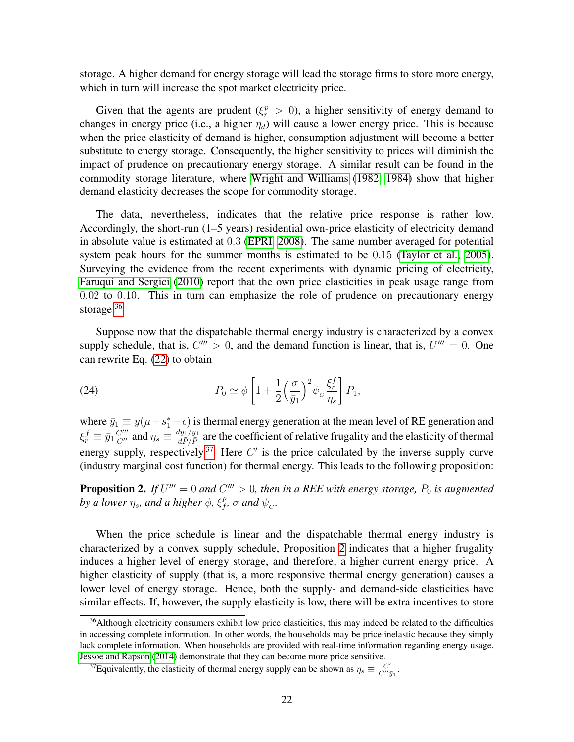storage. A higher demand for energy storage will lead the storage firms to store more energy, which in turn will increase the spot market electricity price.

Given that the agents are prudent ( $\xi_r^p > 0$ ), a higher sensitivity of energy demand to changes in energy price (i.e., a higher  $\eta_d$ ) will cause a lower energy price. This is because when the price elasticity of demand is higher, consumption adjustment will become a better substitute to energy storage. Consequently, the higher sensitivity to prices will diminish the impact of prudence on precautionary energy storage. A similar result can be found in the commodity storage literature, where [Wright and Williams](#page-34-0) [\(1982,](#page-34-0) [1984\)](#page-34-1) show that higher demand elasticity decreases the scope for commodity storage.

The data, nevertheless, indicates that the relative price response is rather low. Accordingly, the short-run (1–5 years) residential own-price elasticity of electricity demand in absolute value is estimated at 0.3 [\(EPRI, 2008\)](#page-31-13). The same number averaged for potential system peak hours for the summer months is estimated to be 0.15 [\(Taylor et al., 2005\)](#page-33-12). Surveying the evidence from the recent experiments with dynamic pricing of electricity, [Faruqui and Sergici](#page-31-14) [\(2010\)](#page-31-14) report that the own price elasticities in peak usage range from 0.02 to 0.10. This in turn can emphasize the role of prudence on precautionary energy storage.<sup>[36](#page-21-0)</sup>

Suppose now that the dispatchable thermal energy industry is characterized by a convex supply schedule, that is,  $C''' > 0$ , and the demand function is linear, that is,  $U''' = 0$ . One can rewrite Eq. [\(22\)](#page-20-1) to obtain

<span id="page-21-3"></span>(24) 
$$
P_0 \simeq \phi \left[ 1 + \frac{1}{2} \left( \frac{\sigma}{\bar{y}_1} \right)^2 \psi_c \frac{\xi_r^f}{\eta_s} \right] P_1,
$$

where  $\bar{y}_1 \equiv y(\mu + s_1^* - \epsilon)$  is thermal energy generation at the mean level of RE generation and  $\xi_r^f \equiv \bar{y}_1 \frac{C'''}{C''}$  and  $\eta_s \equiv \frac{d\bar{y}_1/\bar{y}_1}{d\bar{P}/\bar{P}}$  are the coefficient of relative frugality and the elasticity of thermal energy supply, respectively.<sup>[37](#page-21-1)</sup> Here  $C'$  is the price calculated by the inverse supply curve (industry marginal cost function) for thermal energy. This leads to the following proposition:

<span id="page-21-2"></span>**Proposition 2.** If  $U''' = 0$  and  $C''' > 0$ , then in a REE with energy storage,  $P_0$  is augmented by a lower  $\eta_s$ , and a higher  $\phi$ ,  $\xi_f^p$  $_{f}^{p}$ ,  $\sigma$  and  $\psi_{C}$ .

When the price schedule is linear and the dispatchable thermal energy industry is characterized by a convex supply schedule, Proposition [2](#page-21-2) indicates that a higher frugality induces a higher level of energy storage, and therefore, a higher current energy price. A higher elasticity of supply (that is, a more responsive thermal energy generation) causes a lower level of energy storage. Hence, both the supply- and demand-side elasticities have similar effects. If, however, the supply elasticity is low, there will be extra incentives to store

<span id="page-21-0"></span><sup>&</sup>lt;sup>36</sup>Although electricity consumers exhibit low price elasticities, this may indeed be related to the difficulties in accessing complete information. In other words, the households may be price inelastic because they simply lack complete information. When households are provided with real-time information regarding energy usage, [Jessoe and Rapson](#page-32-13) [\(2014\)](#page-32-13) demonstrate that they can become more price sensitive.

<span id="page-21-1"></span><sup>&</sup>lt;sup>37</sup> Equivalently, the elasticity of thermal energy supply can be shown as  $\eta_s \equiv \frac{C'}{C''i}$  $\frac{C'}{C''\bar y_1}.$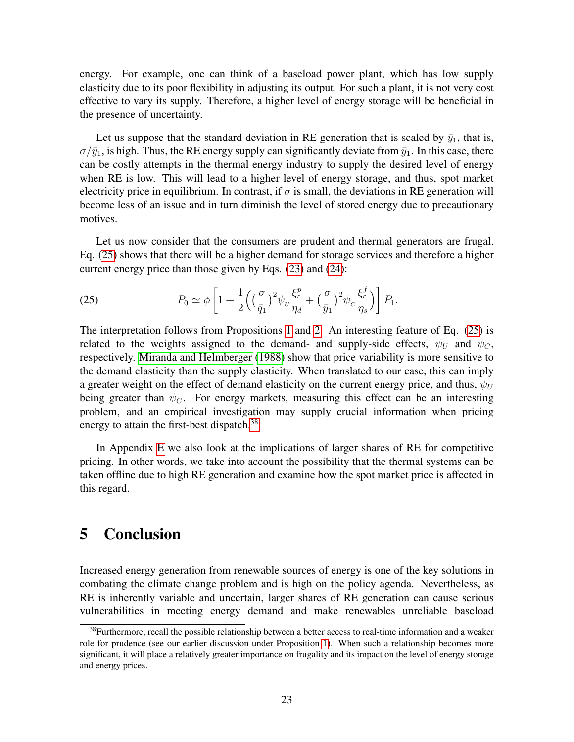energy. For example, one can think of a baseload power plant, which has low supply elasticity due to its poor flexibility in adjusting its output. For such a plant, it is not very cost effective to vary its supply. Therefore, a higher level of energy storage will be beneficial in the presence of uncertainty.

Let us suppose that the standard deviation in RE generation that is scaled by  $\bar{y}_1$ , that is,  $\sigma/\bar{y}_1$ , is high. Thus, the RE energy supply can significantly deviate from  $\bar{y}_1$ . In this case, there can be costly attempts in the thermal energy industry to supply the desired level of energy when RE is low. This will lead to a higher level of energy storage, and thus, spot market electricity price in equilibrium. In contrast, if  $\sigma$  is small, the deviations in RE generation will become less of an issue and in turn diminish the level of stored energy due to precautionary motives.

Let us now consider that the consumers are prudent and thermal generators are frugal. Eq. [\(25\)](#page-22-1) shows that there will be a higher demand for storage services and therefore a higher current energy price than those given by Eqs. [\(23\)](#page-20-3) and [\(24\)](#page-21-3):

<span id="page-22-1"></span>(25) 
$$
P_0 \simeq \phi \left[ 1 + \frac{1}{2} \left( \left( \frac{\sigma}{\bar{q}_1} \right)^2 \psi_v \frac{\xi_r^p}{\eta_d} + \left( \frac{\sigma}{\bar{y}_1} \right)^2 \psi_c \frac{\xi_r^f}{\eta_s} \right) \right] P_1.
$$

The interpretation follows from Propositions [1](#page-20-4) and [2.](#page-21-2) An interesting feature of Eq. [\(25\)](#page-22-1) is related to the weights assigned to the demand- and supply-side effects,  $\psi_U$  and  $\psi_C$ , respectively. [Miranda and Helmberger](#page-33-13) [\(1988\)](#page-33-13) show that price variability is more sensitive to the demand elasticity than the supply elasticity. When translated to our case, this can imply a greater weight on the effect of demand elasticity on the current energy price, and thus,  $\psi_U$ being greater than  $\psi_C$ . For energy markets, measuring this effect can be an interesting problem, and an empirical investigation may supply crucial information when pricing energy to attain the first-best dispatch.<sup>[38](#page-22-2)</sup>

In Appendix [E](#page-30-7) we also look at the implications of larger shares of RE for competitive pricing. In other words, we take into account the possibility that the thermal systems can be taken offline due to high RE generation and examine how the spot market price is affected in this regard.

### <span id="page-22-0"></span>5 Conclusion

Increased energy generation from renewable sources of energy is one of the key solutions in combating the climate change problem and is high on the policy agenda. Nevertheless, as RE is inherently variable and uncertain, larger shares of RE generation can cause serious vulnerabilities in meeting energy demand and make renewables unreliable baseload

<span id="page-22-2"></span><sup>&</sup>lt;sup>38</sup>Furthermore, recall the possible relationship between a better access to real-time information and a weaker role for prudence (see our earlier discussion under Proposition [1\)](#page-20-4). When such a relationship becomes more significant, it will place a relatively greater importance on frugality and its impact on the level of energy storage and energy prices.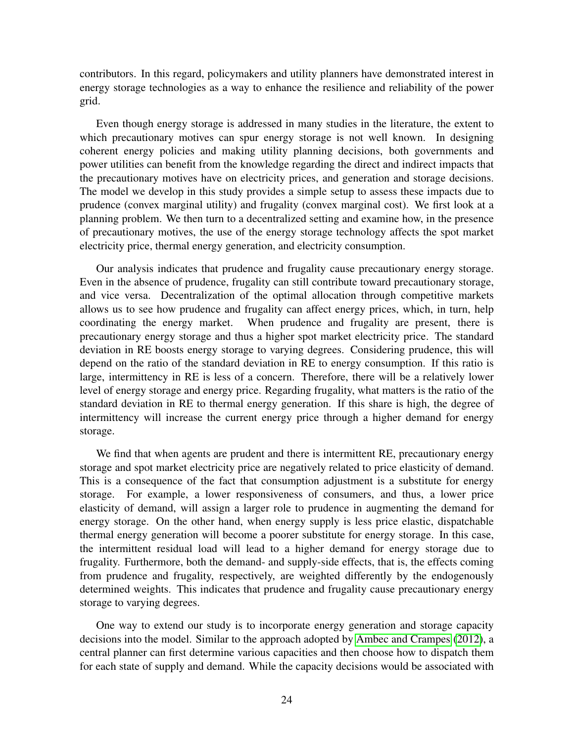contributors. In this regard, policymakers and utility planners have demonstrated interest in energy storage technologies as a way to enhance the resilience and reliability of the power grid.

Even though energy storage is addressed in many studies in the literature, the extent to which precautionary motives can spur energy storage is not well known. In designing coherent energy policies and making utility planning decisions, both governments and power utilities can benefit from the knowledge regarding the direct and indirect impacts that the precautionary motives have on electricity prices, and generation and storage decisions. The model we develop in this study provides a simple setup to assess these impacts due to prudence (convex marginal utility) and frugality (convex marginal cost). We first look at a planning problem. We then turn to a decentralized setting and examine how, in the presence of precautionary motives, the use of the energy storage technology affects the spot market electricity price, thermal energy generation, and electricity consumption.

Our analysis indicates that prudence and frugality cause precautionary energy storage. Even in the absence of prudence, frugality can still contribute toward precautionary storage, and vice versa. Decentralization of the optimal allocation through competitive markets allows us to see how prudence and frugality can affect energy prices, which, in turn, help coordinating the energy market. When prudence and frugality are present, there is precautionary energy storage and thus a higher spot market electricity price. The standard deviation in RE boosts energy storage to varying degrees. Considering prudence, this will depend on the ratio of the standard deviation in RE to energy consumption. If this ratio is large, intermittency in RE is less of a concern. Therefore, there will be a relatively lower level of energy storage and energy price. Regarding frugality, what matters is the ratio of the standard deviation in RE to thermal energy generation. If this share is high, the degree of intermittency will increase the current energy price through a higher demand for energy storage.

We find that when agents are prudent and there is intermittent RE, precautionary energy storage and spot market electricity price are negatively related to price elasticity of demand. This is a consequence of the fact that consumption adjustment is a substitute for energy storage. For example, a lower responsiveness of consumers, and thus, a lower price elasticity of demand, will assign a larger role to prudence in augmenting the demand for energy storage. On the other hand, when energy supply is less price elastic, dispatchable thermal energy generation will become a poorer substitute for energy storage. In this case, the intermittent residual load will lead to a higher demand for energy storage due to frugality. Furthermore, both the demand- and supply-side effects, that is, the effects coming from prudence and frugality, respectively, are weighted differently by the endogenously determined weights. This indicates that prudence and frugality cause precautionary energy storage to varying degrees.

One way to extend our study is to incorporate energy generation and storage capacity decisions into the model. Similar to the approach adopted by [Ambec and Crampes](#page-30-6) [\(2012\)](#page-30-6), a central planner can first determine various capacities and then choose how to dispatch them for each state of supply and demand. While the capacity decisions would be associated with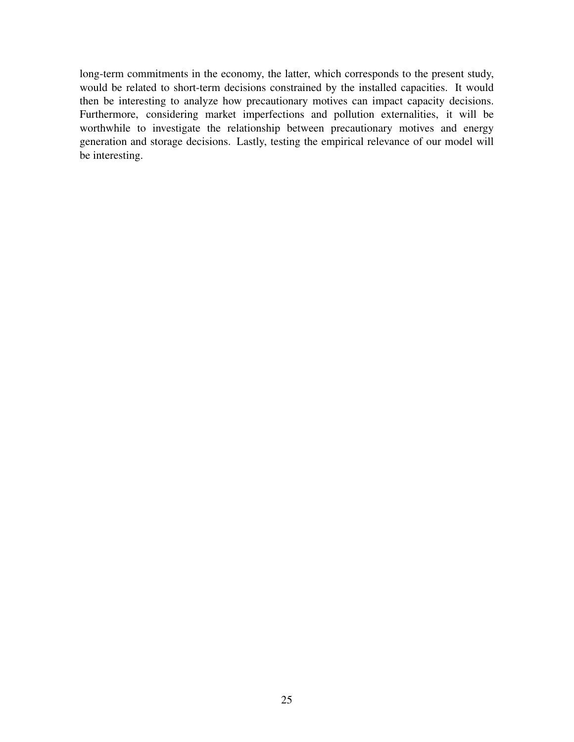long-term commitments in the economy, the latter, which corresponds to the present study, would be related to short-term decisions constrained by the installed capacities. It would then be interesting to analyze how precautionary motives can impact capacity decisions. Furthermore, considering market imperfections and pollution externalities, it will be worthwhile to investigate the relationship between precautionary motives and energy generation and storage decisions. Lastly, testing the empirical relevance of our model will be interesting.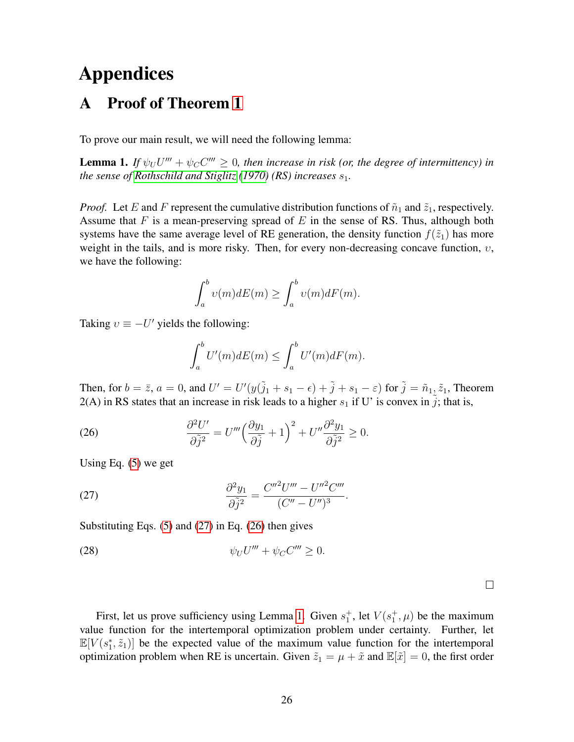# Appendices

## <span id="page-25-0"></span>A Proof of Theorem [1](#page-14-0)

To prove our main result, we will need the following lemma:

<span id="page-25-3"></span>**Lemma 1.** If  $\psi_U U''' + \psi_C C''' \geq 0$ , then increase in risk (or, the degree of intermittency) in *the sense of [Rothschild and Stiglitz](#page-33-14)* [\(1970\)](#page-33-14) (RS) *increases*  $s_1$ *.* 

*Proof.* Let E and F represent the cumulative distribution functions of  $\tilde{n}_1$  and  $\tilde{z}_1$ , respectively. Assume that F is a mean-preserving spread of E in the sense of RS. Thus, although both systems have the same average level of RE generation, the density function  $f(\tilde{z}_1)$  has more weight in the tails, and is more risky. Then, for every non-decreasing concave function,  $v$ , we have the following:

$$
\int_a^b v(m)dE(m) \ge \int_a^b v(m)dF(m).
$$

Taking  $v \equiv -U'$  yields the following:

<span id="page-25-2"></span>
$$
\int_a^b U'(m)dE(m) \le \int_a^b U'(m)dF(m).
$$

Then, for  $b = \bar{z}$ ,  $a = 0$ , and  $U' = U'(y(\tilde{j}_1 + s_1 - \epsilon) + \tilde{j} + s_1 - \epsilon)$  for  $\tilde{j} = \tilde{n}_1, \tilde{z}_1$ , Theorem  $2(A)$  in RS states that an increase in risk leads to a higher  $s_1$  if U' is convex in j; that is,

(26) 
$$
\frac{\partial^2 U'}{\partial \tilde{j}^2} = U''' \left( \frac{\partial y_1}{\partial \tilde{j}} + 1 \right)^2 + U'' \frac{\partial^2 y_1}{\partial \tilde{j}^2} \ge 0.
$$

Using Eq. [\(5\)](#page-11-3) we get

<span id="page-25-1"></span>(27) 
$$
\frac{\partial^2 y_1}{\partial \tilde{j}^2} = \frac{C''^2 U''' - U''^2 C'''}{(C'' - U'')^3}.
$$

Substituting Eqs.  $(5)$  and  $(27)$  in Eq.  $(26)$  then gives

<span id="page-25-4"></span>
$$
\psi_U U''' + \psi_C C''' \ge 0.
$$

 $\Box$ 

First, let us prove sufficiency using Lemma [1.](#page-25-3) Given  $s_1^+$ , let  $V(s_1^+,\mu)$  be the maximum value function for the intertemporal optimization problem under certainty. Further, let  $\mathbb{E}[V(s_1^*, \tilde{z}_1)]$  be the expected value of the maximum value function for the intertemporal optimization problem when RE is uncertain. Given  $\tilde{z}_1 = \mu + \tilde{x}$  and  $\mathbb{E}[\tilde{x}] = 0$ , the first order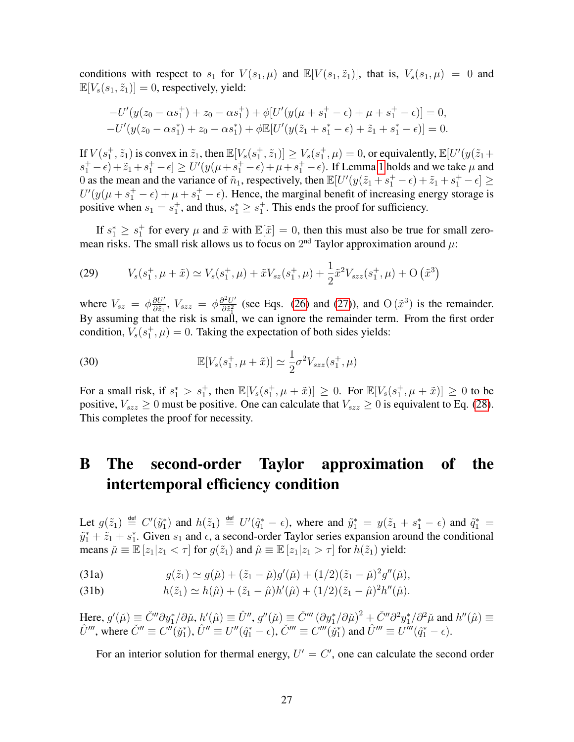conditions with respect to  $s_1$  for  $V(s_1, \mu)$  and  $\mathbb{E}[V(s_1, \tilde{z}_1)]$ , that is,  $V_s(s_1, \mu) = 0$  and  $\mathbb{E}[V_s(s_1, \tilde{z}_1)] = 0$ , respectively, yield:

$$
-U'(y(z_0 - \alpha s_1^+) + z_0 - \alpha s_1^+) + \phi[U'(y(\mu + s_1^+ - \epsilon) + \mu + s_1^+ - \epsilon)] = 0,
$$
  

$$
-U'(y(z_0 - \alpha s_1^+) + z_0 - \alpha s_1^+) + \phi \mathbb{E}[U'(y(\tilde{z}_1 + s_1^* - \epsilon) + \tilde{z}_1 + s_1^* - \epsilon)] = 0.
$$

If  $V(s_1^+, \tilde{z}_1)$  is convex in  $\tilde{z}_1$ , then  $\mathbb{E}[V_s(s_1^+, \tilde{z}_1)] \geq V_s(s_1^+, \mu) = 0$ , or equivalently,  $\mathbb{E}[U'(y(\tilde{z}_1 +$  $(s_1^+ - \epsilon) + \tilde{z}_1 + s_1^+ - \epsilon$   $\ge U'(y(\mu + s_1^+ - \epsilon) + \mu + s_1^+ - \epsilon)$ . If Lemma [1](#page-25-3) holds and we take  $\mu$  and 0 as the mean and the variance of  $\tilde{n}_1$ , respectively, then  $\mathbb{E}[U'(y(\tilde{z}_1 + s_1^+ - \epsilon) + \tilde{z}_1 + s_1^+ - \epsilon] \ge$  $U'(y(\mu + s_1^+ - \epsilon) + \mu + s_1^+ - \epsilon)$ . Hence, the marginal benefit of increasing energy storage is positive when  $s_1 = s_1^+$ , and thus,  $s_1^* \geq s_1^+$ . This ends the proof for sufficiency.

If  $s_1^* \geq s_1^+$  for every  $\mu$  and  $\tilde{x}$  with  $\mathbb{E}[\tilde{x}] = 0$ , then this must also be true for small zeromean risks. The small risk allows us to focus on  $2<sup>nd</sup>$  Taylor approximation around  $\mu$ :

(29) 
$$
V_s(s_1^+, \mu + \tilde{x}) \simeq V_s(s_1^+, \mu) + \tilde{x}V_{sz}(s_1^+, \mu) + \frac{1}{2}\tilde{x}^2V_{szz}(s_1^+, \mu) + \mathcal{O}(\tilde{x}^3)
$$

where  $V_{sz} = \phi \frac{\partial U'}{\partial \tilde{z}_1}$  $\frac{\partial U'}{\partial \tilde{z}_1}$ ,  $V_{szz} = \phi \frac{\partial^2 U'}{\partial \tilde{z}_1^2}$  $\frac{\partial^2 U'}{\partial \tilde{z}_1^2}$  (see Eqs. [\(26\)](#page-25-2) and [\(27\)](#page-25-1)), and O  $(\tilde{x}^3)$  is the remainder. By assuming that the risk is small, we can ignore the remainder term. From the first order condition,  $V_s(s_1^+, \mu) = 0$ . Taking the expectation of both sides yields:

(30) 
$$
\mathbb{E}[V_s(s_1^+, \mu + \tilde{x})] \simeq \frac{1}{2} \sigma^2 V_{szz}(s_1^+, \mu)
$$

For a small risk, if  $s_1^* > s_1^+$ , then  $\mathbb{E}[V_s(s_1^+, \mu + \tilde{x})] \geq 0$ . For  $\mathbb{E}[V_s(s_1^+, \mu + \tilde{x})] \geq 0$  to be positive,  $V_{szz} \ge 0$  must be positive. One can calculate that  $V_{szz} \ge 0$  is equivalent to Eq. [\(28\)](#page-25-4). This completes the proof for necessity.

## <span id="page-26-0"></span>B The second-order Taylor approximation of the intertemporal efficiency condition

Let  $g(\tilde{z}_1) \stackrel{\text{def}}{=} C'(\tilde{y}_1^*)$  and  $h(\tilde{z}_1) \stackrel{\text{def}}{=} U'(\tilde{q}_1^* - \epsilon)$ , where and  $\tilde{y}_1^* = y(\tilde{z}_1 + s_1^* - \epsilon)$  and  $\tilde{q}_1^* =$  $\tilde{y}_1^* + \tilde{z}_1 + s_1^*$ . Given  $s_1$  and  $\epsilon$ , a second-order Taylor series expansion around the conditional means  $\tilde{\mu} \equiv \mathbb{E} [z_1 | z_1 < \tau]$  for  $g(\tilde{z}_1)$  and  $\hat{\mu} \equiv \mathbb{E} [z_1 | z_1 > \tau]$  for  $h(\tilde{z}_1)$  yield:

(31a) 
$$
g(\tilde{z}_1) \simeq g(\tilde{\mu}) + (\tilde{z}_1 - \tilde{\mu})g'(\tilde{\mu}) + (1/2)(\tilde{z}_1 - \tilde{\mu})^2 g''(\tilde{\mu}),
$$

(31b) 
$$
h(\tilde{z}_1) \simeq h(\hat{\mu}) + (\tilde{z}_1 - \hat{\mu})h'(\hat{\mu}) + (1/2)(\tilde{z}_1 - \hat{\mu})^2h''(\hat{\mu}).
$$

Here,  $g'(\check{\mu}) \equiv \check{C}'' \partial y_1^* / \partial \check{\mu}$ ,  $h'(\hat{\mu}) \equiv \hat{U}''$ ,  $g''(\check{\mu}) \equiv \check{C}''' (\partial y_1^* / \partial \check{\mu})^2 + \check{C}'' \partial^2 y_1^* / \partial^2 \check{\mu}$  and  $h''(\hat{\mu}) \equiv \check{C}'' \partial y_1^* / \partial \check{\mu}$  $\hat{U}'''$ , where  $\check{C}''' \equiv C''(\check{y}_1^*)$ ,  $\hat{U}'' \equiv U''(\hat{q}_1^* - \epsilon)$ ,  $\check{C}''' \equiv C'''(\check{y}_1^*)$  and  $\hat{U}''' \equiv U'''(\hat{q}_1^* - \epsilon)$ .

For an interior solution for thermal energy,  $U' = C'$ , one can calculate the second order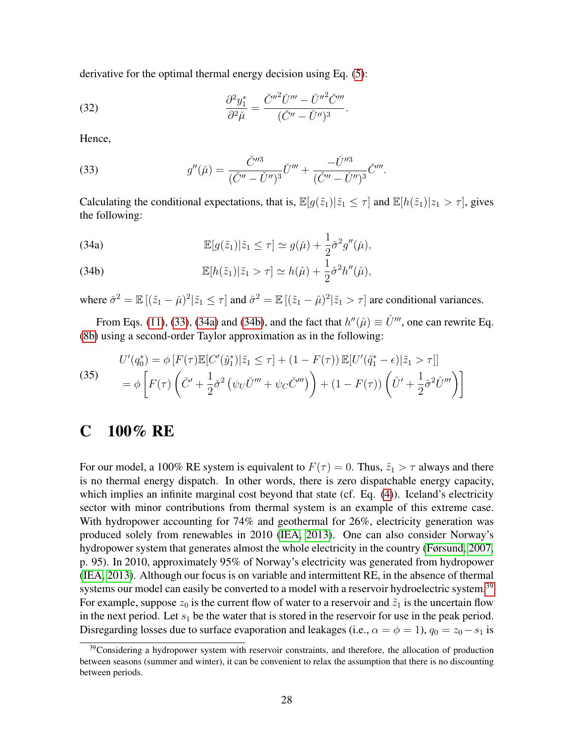derivative for the optimal thermal energy decision using Eq. [\(5\)](#page-11-3):

(32) 
$$
\frac{\partial^2 y_1^*}{\partial^2 \check{\mu}} = \frac{\check{C}''^2 \check{U}''' - \check{U}''^2 \check{C}'''}{(\check{C}'' - \check{U}'')^3}.
$$

Hence,

<span id="page-27-1"></span>(33) 
$$
g''(\check{\mu}) = \frac{\check{C}^{m}}{(\check{C}'' - \check{U}'')^3} \check{U}''' + \frac{-\check{U}^{m}}{(\check{C}'' - \check{U}'')^3} \check{C}'''.
$$

Calculating the conditional expectations, that is,  $\mathbb{E}[g(\tilde{z}_1)|\tilde{z}_1 \leq \tau]$  and  $\mathbb{E}[h(\tilde{z}_1)|z_1 > \tau]$ , gives the following:

<span id="page-27-2"></span>(34a) 
$$
\mathbb{E}[g(\tilde{z}_1)|\tilde{z}_1 \leq \tau] \simeq g(\tilde{\mu}) + \frac{1}{2}\check{\sigma}^2 g''(\tilde{\mu}),
$$

<span id="page-27-3"></span>(34b) 
$$
\mathbb{E}[h(\tilde{z}_1)|\tilde{z}_1 > \tau] \simeq h(\hat{\mu}) + \frac{1}{2}\hat{\sigma}^2 h''(\hat{\mu}),
$$

where  $\check{\sigma}^2 = \mathbb{E}[(\tilde{z}_1 - \check{\mu})^2 | \tilde{z}_1 \leq \tau]$  and  $\hat{\sigma}^2 = \mathbb{E}[(\tilde{z}_1 - \hat{\mu})^2 | \tilde{z}_1 > \tau]$  are conditional variances.

From Eqs. [\(11\)](#page-13-2), [\(33\)](#page-27-1), [\(34a\)](#page-27-2) and [\(34b\)](#page-27-3), and the fact that  $h''(\hat{\mu}) \equiv \hat{U}'''$ , one can rewrite Eq. [\(8b\)](#page-12-2) using a second-order Taylor approximation as in the following:

(35)  

$$
U'(q_0^*) = \phi \left[ F(\tau) \mathbb{E} [C'(\tilde{y}_1^*) | \tilde{z}_1 \le \tau \right] + (1 - F(\tau)) \mathbb{E} [U'(\tilde{q}_1^* - \epsilon) | \tilde{z}_1 > \tau ] \right]
$$

$$
= \phi \left[ F(\tau) \left( \check{C}' + \frac{1}{2} \check{\sigma}^2 \left( \psi_U \check{U}'' + \psi_C \check{C}''' \right) \right) + (1 - F(\tau)) \left( \hat{U}' + \frac{1}{2} \hat{\sigma}^2 \hat{U}'' \right) \right]
$$

## <span id="page-27-0"></span>C 100% RE

For our model, a 100% RE system is equivalent to  $F(\tau) = 0$ . Thus,  $\tilde{z}_1 > \tau$  always and there is no thermal energy dispatch. In other words, there is zero dispatchable energy capacity, which implies an infinite marginal cost beyond that state (cf. Eq.  $(4)$ ). Iceland's electricity sector with minor contributions from thermal system is an example of this extreme case. With hydropower accounting for 74% and geothermal for 26%, electricity generation was produced solely from renewables in 2010 [\(IEA, 2013\)](#page-32-14). One can also consider Norway's hydropower system that generates almost the whole electricity in the country [\(Førsund, 2007,](#page-31-15) p. 95). In 2010, approximately 95% of Norway's electricity was generated from hydropower [\(IEA, 2013\)](#page-32-14). Although our focus is on variable and intermittent RE, in the absence of thermal systems our model can easily be converted to a model with a reservoir hydroelectric system.<sup>[39](#page-27-4)</sup> For example, suppose  $z_0$  is the current flow of water to a reservoir and  $\tilde{z}_1$  is the uncertain flow in the next period. Let  $s_1$  be the water that is stored in the reservoir for use in the peak period. Disregarding losses due to surface evaporation and leakages (i.e.,  $\alpha = \phi = 1$ ),  $q_0 = z_0 - s_1$  is

<span id="page-27-4"></span><sup>&</sup>lt;sup>39</sup>Considering a hydropower system with reservoir constraints, and therefore, the allocation of production between seasons (summer and winter), it can be convenient to relax the assumption that there is no discounting between periods.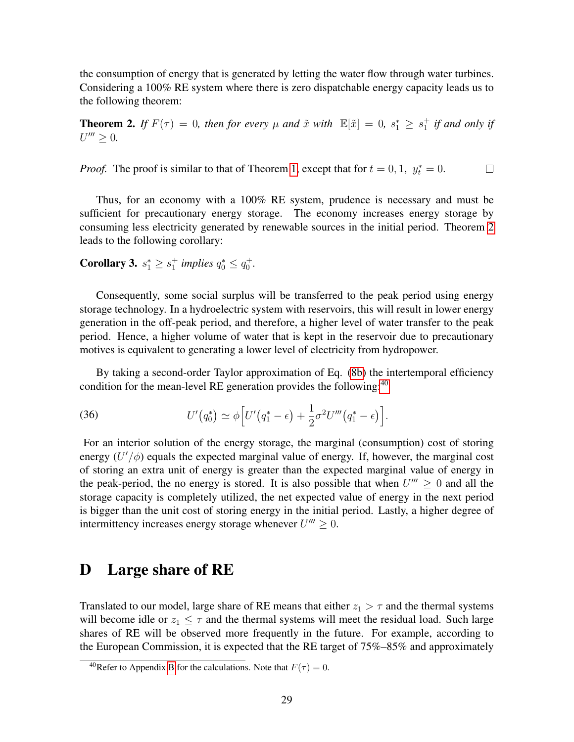the consumption of energy that is generated by letting the water flow through water turbines. Considering a 100% RE system where there is zero dispatchable energy capacity leads us to the following theorem:

<span id="page-28-2"></span>**Theorem 2.** If  $F(\tau) = 0$ , then for every  $\mu$  and  $\tilde{x}$  with  $\mathbb{E}[\tilde{x}] = 0$ ,  $s_1^* \geq s_1^+$  if and only if  $U''' \geq 0.$ 

*Proof.* The proof is similar to that of Theorem [1,](#page-14-0) except that for  $t = 0, 1, y_t^* = 0$ .  $\Box$ 

Thus, for an economy with a 100% RE system, prudence is necessary and must be sufficient for precautionary energy storage. The economy increases energy storage by consuming less electricity generated by renewable sources in the initial period. Theorem [2](#page-28-2) leads to the following corollary:

<span id="page-28-1"></span>**Corollary 3.**  $s_1^* \geq s_1^+$  *implies*  $q_0^* \leq q_0^+$ .

Consequently, some social surplus will be transferred to the peak period using energy storage technology. In a hydroelectric system with reservoirs, this will result in lower energy generation in the off-peak period, and therefore, a higher level of water transfer to the peak period. Hence, a higher volume of water that is kept in the reservoir due to precautionary motives is equivalent to generating a lower level of electricity from hydropower.

By taking a second-order Taylor approximation of Eq. [\(8b\)](#page-12-2) the intertemporal efficiency condition for the mean-level RE generation provides the following: $40$ 

(36) 
$$
U'(q_0^*) \simeq \phi \Big[U'\big(q_1^* - \epsilon\big) + \frac{1}{2}\sigma^2 U''' \big(q_1^* - \epsilon\big) \Big].
$$

For an interior solution of the energy storage, the marginal (consumption) cost of storing energy  $(U'/\phi)$  equals the expected marginal value of energy. If, however, the marginal cost of storing an extra unit of energy is greater than the expected marginal value of energy in the peak-period, the no energy is stored. It is also possible that when  $U''' \ge 0$  and all the storage capacity is completely utilized, the net expected value of energy in the next period is bigger than the unit cost of storing energy in the initial period. Lastly, a higher degree of intermittency increases energy storage whenever  $U''' \geq 0$ .

### <span id="page-28-0"></span>D Large share of RE

Translated to our model, large share of RE means that either  $z_1 > \tau$  and the thermal systems will become idle or  $z_1 \leq \tau$  and the thermal systems will meet the residual load. Such large shares of RE will be observed more frequently in the future. For example, according to the European Commission, it is expected that the RE target of 75%–85% and approximately

<span id="page-28-3"></span><sup>&</sup>lt;sup>40</sup>Refer to Appendix [B](#page-26-0) for the calculations. Note that  $F(\tau) = 0$ .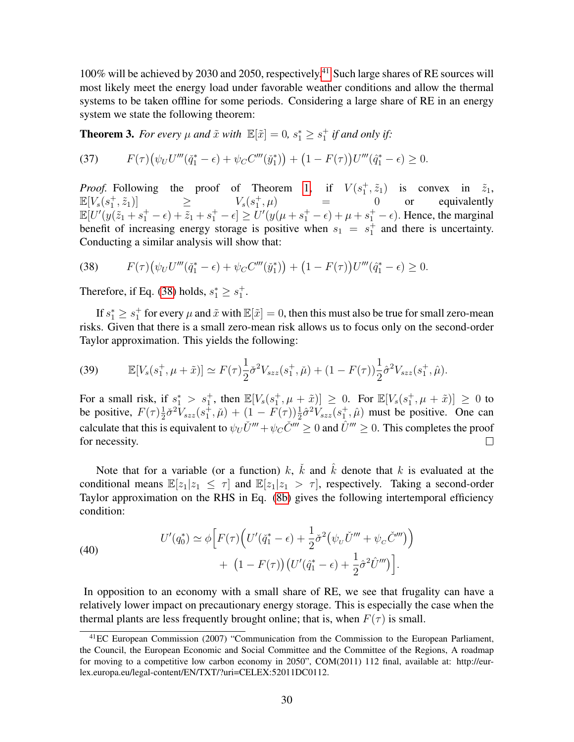100% will be achieved by 2030 and 2050, respectively.[41](#page-29-0) Such large shares of RE sources will most likely meet the energy load under favorable weather conditions and allow the thermal systems to be taken offline for some periods. Considering a large share of RE in an energy system we state the following theorem:

**Theorem 3.** For every  $\mu$  and  $\tilde{x}$  with  $\mathbb{E}[\tilde{x}] = 0$ ,  $s_1^* \geq s_1^+$  if and only if:

(37) 
$$
F(\tau)\big(\psi_U U'''(\check{q}_1^*-\epsilon)+\psi_C C'''(\check{y}_1^*)\big) + \big(1-F(\tau)\big)U'''(\hat{q}_1^*-\epsilon)\geq 0.
$$

*Proof.* Following the proof of Theorem [1,](#page-14-0) if  $V(s_1^+, \tilde{z}_1)$  is convex in  $\tilde{z}_1$ ,  $\mathbb{E}[V_s(s_1^+, \tilde{z}_1)]$   $\geq$   $V_s(s_1^+, \mu)$   $\qquad =$  0 or equivalently  $\mathbb{E}[U'(y(\tilde{z}_1 + s_1^+ - \epsilon) + \tilde{z}_1 + s_1^+ - \epsilon] \ge U'(y(\mu + s_1^+ - \epsilon) + \mu + s_1^+ - \epsilon)$ . Hence, the marginal benefit of increasing energy storage is positive when  $s_1 = s_1^+$  and there is uncertainty. Conducting a similar analysis will show that:

<span id="page-29-1"></span>(38) 
$$
F(\tau)\big(\psi_U U'''(\check{q}_1^*-\epsilon)+\psi_C C'''(\check{y}_1^*)\big) + \big(1-F(\tau)\big)U'''(\hat{q}_1^*-\epsilon)\geq 0.
$$

Therefore, if Eq. [\(38\)](#page-29-1) holds,  $s_1^* \geq s_1^+$ .

If  $s_1^* \geq s_1^+$  for every  $\mu$  and  $\tilde{x}$  with  $\mathbb{E}[\tilde{x}]=0$ , then this must also be true for small zero-mean risks. Given that there is a small zero-mean risk allows us to focus only on the second-order Taylor approximation. This yields the following:

(39) 
$$
\mathbb{E}[V_s(s_1^+, \mu + \tilde{x})] \simeq F(\tau) \frac{1}{2} \tilde{\sigma}^2 V_{szz}(s_1^+, \tilde{\mu}) + (1 - F(\tau)) \frac{1}{2} \hat{\sigma}^2 V_{szz}(s_1^+, \hat{\mu}).
$$

For a small risk, if  $s_1^* > s_1^+$ , then  $\mathbb{E}[V_s(s_1^+, \mu + \tilde{x})] \geq 0$ . For  $\mathbb{E}[V_s(s_1^+, \mu + \tilde{x})] \geq 0$  to be positive,  $F(\tau) \frac{1}{2}$  $\frac{1}{2}\check{\sigma}^2V_{szz}(s_1^+, \check{\mu}) + (1 - F(\tau))\frac{1}{2}\hat{\sigma}^2V_{szz}(s_1^+, \hat{\mu})$  must be positive. One can calculate that this is equivalent to  $\psi_U U''' + \psi_C \check{C}''' \geq 0$  and  $\hat{U}''' \geq 0$ . This completes the proof for necessity.  $\Box$ 

Note that for a variable (or a function) k,  $\check{k}$  and  $\hat{k}$  denote that k is evaluated at the conditional means  $\mathbb{E}[z_1|z_1 \leq \tau]$  and  $\mathbb{E}[z_1|z_1 > \tau]$ , respectively. Taking a second-order Taylor approximation on the RHS in Eq. [\(8b\)](#page-12-2) gives the following intertemporal efficiency condition:

(40)  

$$
U'(q_0^*) \simeq \phi \Big[ F(\tau) \Big( U'(\check{q}_1^* - \epsilon) + \frac{1}{2} \check{\sigma}^2 \big( \psi_U \check{U}''' + \psi_C \check{C}''' \big) \Big) + \left( 1 - F(\tau) \right) \big( U'(\hat{q}_1^* - \epsilon) + \frac{1}{2} \hat{\sigma}^2 \hat{U}''' \big) \Big].
$$

In opposition to an economy with a small share of RE, we see that frugality can have a relatively lower impact on precautionary energy storage. This is especially the case when the thermal plants are less frequently brought online; that is, when  $F(\tau)$  is small.

<span id="page-29-0"></span><sup>41</sup>EC European Commission (2007) "Communication from the Commission to the European Parliament, the Council, the European Economic and Social Committee and the Committee of the Regions, A roadmap for moving to a competitive low carbon economy in 2050", COM(2011) 112 final, available at: http://eurlex.europa.eu/legal-content/EN/TXT/?uri=CELEX:52011DC0112.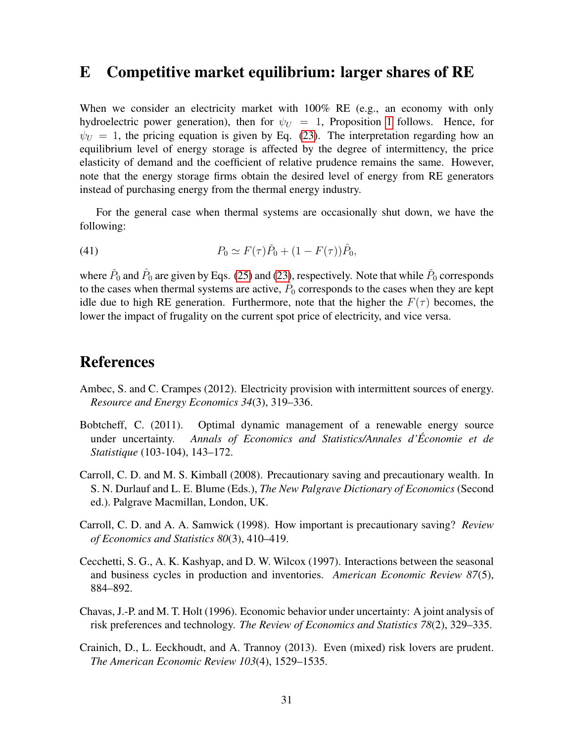### <span id="page-30-7"></span>E Competitive market equilibrium: larger shares of RE

When we consider an electricity market with  $100\%$  RE (e.g., an economy with only hydroelectric power generation), then for  $\psi_U = 1$  $\psi_U = 1$ , Proposition 1 follows. Hence, for  $\psi_U = 1$ , the pricing equation is given by Eq. [\(23\)](#page-20-3). The interpretation regarding how an equilibrium level of energy storage is affected by the degree of intermittency, the price elasticity of demand and the coefficient of relative prudence remains the same. However, note that the energy storage firms obtain the desired level of energy from RE generators instead of purchasing energy from the thermal energy industry.

For the general case when thermal systems are occasionally shut down, we have the following:

(41) 
$$
P_0 \simeq F(\tau) \check{P}_0 + (1 - F(\tau)) \hat{P}_0,
$$

where  $\check{P}_0$  and  $\hat{P}_0$  are given by Eqs. [\(25\)](#page-22-1) and [\(23\)](#page-20-3), respectively. Note that while  $\check{P}_0$  corresponds to the cases when thermal systems are active,  $\hat{P}_0$  corresponds to the cases when they are kept idle due to high RE generation. Furthermore, note that the higher the  $F(\tau)$  becomes, the lower the impact of frugality on the current spot price of electricity, and vice versa.

### References

- <span id="page-30-6"></span>Ambec, S. and C. Crampes (2012). Electricity provision with intermittent sources of energy. *Resource and Energy Economics 34*(3), 319–336.
- <span id="page-30-5"></span>Bobtcheff, C. (2011). Optimal dynamic management of a renewable energy source under uncertainty. *Annals of Economics and Statistics/Annales d'Économie et de Statistique* (103-104), 143–172.
- <span id="page-30-3"></span>Carroll, C. D. and M. S. Kimball (2008). Precautionary saving and precautionary wealth. In S. N. Durlauf and L. E. Blume (Eds.), *The New Palgrave Dictionary of Economics* (Second ed.). Palgrave Macmillan, London, UK.
- <span id="page-30-2"></span>Carroll, C. D. and A. A. Samwick (1998). How important is precautionary saving? *Review of Economics and Statistics 80*(3), 410–419.
- <span id="page-30-4"></span>Cecchetti, S. G., A. K. Kashyap, and D. W. Wilcox (1997). Interactions between the seasonal and business cycles in production and inventories. *American Economic Review 87*(5), 884–892.
- <span id="page-30-1"></span>Chavas, J.-P. and M. T. Holt (1996). Economic behavior under uncertainty: A joint analysis of risk preferences and technology. *The Review of Economics and Statistics 78*(2), 329–335.
- <span id="page-30-0"></span>Crainich, D., L. Eeckhoudt, and A. Trannoy (2013). Even (mixed) risk lovers are prudent. *The American Economic Review 103*(4), 1529–1535.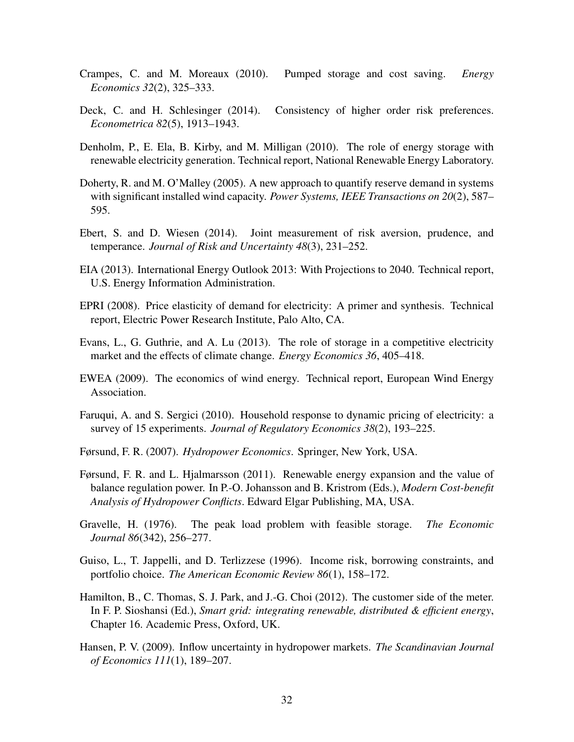- <span id="page-31-9"></span>Crampes, C. and M. Moreaux (2010). Pumped storage and cost saving. *Energy Economics 32*(2), 325–333.
- <span id="page-31-3"></span>Deck, C. and H. Schlesinger (2014). Consistency of higher order risk preferences. *Econometrica 82*(5), 1913–1943.
- <span id="page-31-6"></span>Denholm, P., E. Ela, B. Kirby, and M. Milligan (2010). The role of energy storage with renewable electricity generation. Technical report, National Renewable Energy Laboratory.
- <span id="page-31-12"></span>Doherty, R. and M. O'Malley (2005). A new approach to quantify reserve demand in systems with significant installed wind capacity. *Power Systems, IEEE Transactions on 20*(2), 587– 595.
- <span id="page-31-2"></span>Ebert, S. and D. Wiesen (2014). Joint measurement of risk aversion, prudence, and temperance. *Journal of Risk and Uncertainty 48*(3), 231–252.
- <span id="page-31-1"></span>EIA (2013). International Energy Outlook 2013: With Projections to 2040. Technical report, U.S. Energy Information Administration.
- <span id="page-31-13"></span>EPRI (2008). Price elasticity of demand for electricity: A primer and synthesis. Technical report, Electric Power Research Institute, Palo Alto, CA.
- <span id="page-31-10"></span>Evans, L., G. Guthrie, and A. Lu (2013). The role of storage in a competitive electricity market and the effects of climate change. *Energy Economics 36*, 405–418.
- <span id="page-31-8"></span>EWEA (2009). The economics of wind energy. Technical report, European Wind Energy Association.
- <span id="page-31-14"></span>Faruqui, A. and S. Sergici (2010). Household response to dynamic pricing of electricity: a survey of 15 experiments. *Journal of Regulatory Economics 38*(2), 193–225.
- <span id="page-31-15"></span>Førsund, F. R. (2007). *Hydropower Economics*. Springer, New York, USA.
- <span id="page-31-11"></span>Førsund, F. R. and L. Hjalmarsson (2011). Renewable energy expansion and the value of balance regulation power. In P.-O. Johansson and B. Kristrom (Eds.), *Modern Cost-benefit Analysis of Hydropower Conflicts*. Edward Elgar Publishing, MA, USA.
- <span id="page-31-7"></span>Gravelle, H. (1976). The peak load problem with feasible storage. *The Economic Journal 86*(342), 256–277.
- <span id="page-31-4"></span>Guiso, L., T. Jappelli, and D. Terlizzese (1996). Income risk, borrowing constraints, and portfolio choice. *The American Economic Review 86*(1), 158–172.
- <span id="page-31-0"></span>Hamilton, B., C. Thomas, S. J. Park, and J.-G. Choi (2012). The customer side of the meter. In F. P. Sioshansi (Ed.), *Smart grid: integrating renewable, distributed & efficient energy*, Chapter 16. Academic Press, Oxford, UK.
- <span id="page-31-5"></span>Hansen, P. V. (2009). Inflow uncertainty in hydropower markets. *The Scandinavian Journal of Economics 111*(1), 189–207.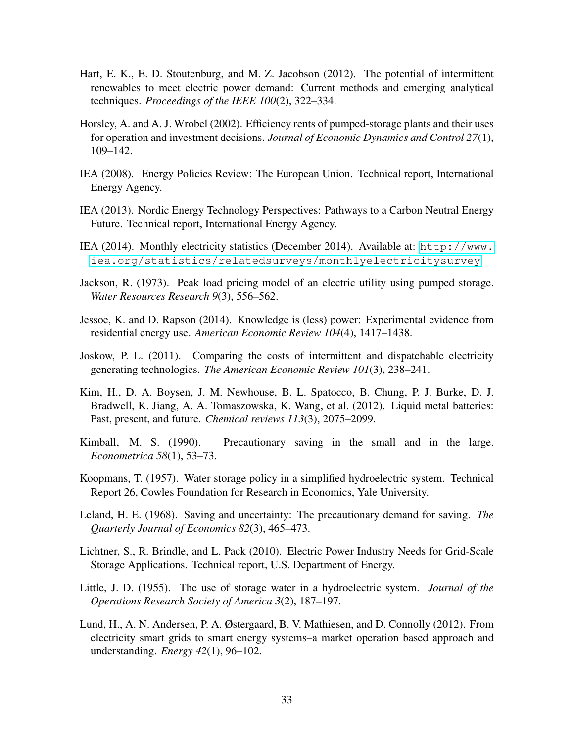- <span id="page-32-2"></span>Hart, E. K., E. D. Stoutenburg, and M. Z. Jacobson (2012). The potential of intermittent renewables to meet electric power demand: Current methods and emerging analytical techniques. *Proceedings of the IEEE 100*(2), 322–334.
- <span id="page-32-6"></span>Horsley, A. and A. J. Wrobel (2002). Efficiency rents of pumped-storage plants and their uses for operation and investment decisions. *Journal of Economic Dynamics and Control 27*(1), 109–142.
- <span id="page-32-0"></span>IEA (2008). Energy Policies Review: The European Union. Technical report, International Energy Agency.
- <span id="page-32-14"></span>IEA (2013). Nordic Energy Technology Perspectives: Pathways to a Carbon Neutral Energy Future. Technical report, International Energy Agency.
- <span id="page-32-1"></span>IEA (2014). Monthly electricity statistics (December 2014). Available at: [http://www.](http://www.iea.org/statistics/relatedsurveys/monthlyelectricitysurvey) [iea.org/statistics/relatedsurveys/monthlyelectricitysurvey](http://www.iea.org/statistics/relatedsurveys/monthlyelectricitysurvey).
- <span id="page-32-5"></span>Jackson, R. (1973). Peak load pricing model of an electric utility using pumped storage. *Water Resources Research 9*(3), 556–562.
- <span id="page-32-13"></span>Jessoe, K. and D. Rapson (2014). Knowledge is (less) power: Experimental evidence from residential energy use. *American Economic Review 104*(4), 1417–1438.
- <span id="page-32-10"></span>Joskow, P. L. (2011). Comparing the costs of intermittent and dispatchable electricity generating technologies. *The American Economic Review 101*(3), 238–241.
- <span id="page-32-8"></span>Kim, H., D. A. Boysen, J. M. Newhouse, B. L. Spatocco, B. Chung, P. J. Burke, D. J. Bradwell, K. Jiang, A. A. Tomaszowska, K. Wang, et al. (2012). Liquid metal batteries: Past, present, and future. *Chemical reviews 113*(3), 2075–2099.
- <span id="page-32-7"></span>Kimball, M. S. (1990). Precautionary saving in the small and in the large. *Econometrica 58*(1), 53–73.
- <span id="page-32-4"></span>Koopmans, T. (1957). Water storage policy in a simplified hydroelectric system. Technical Report 26, Cowles Foundation for Research in Economics, Yale University.
- <span id="page-32-12"></span>Leland, H. E. (1968). Saving and uncertainty: The precautionary demand for saving. *The Quarterly Journal of Economics 82*(3), 465–473.
- <span id="page-32-9"></span>Lichtner, S., R. Brindle, and L. Pack (2010). Electric Power Industry Needs for Grid-Scale Storage Applications. Technical report, U.S. Department of Energy.
- <span id="page-32-3"></span>Little, J. D. (1955). The use of storage water in a hydroelectric system. *Journal of the Operations Research Society of America 3*(2), 187–197.
- <span id="page-32-11"></span>Lund, H., A. N. Andersen, P. A. Østergaard, B. V. Mathiesen, and D. Connolly (2012). From electricity smart grids to smart energy systems–a market operation based approach and understanding. *Energy 42*(1), 96–102.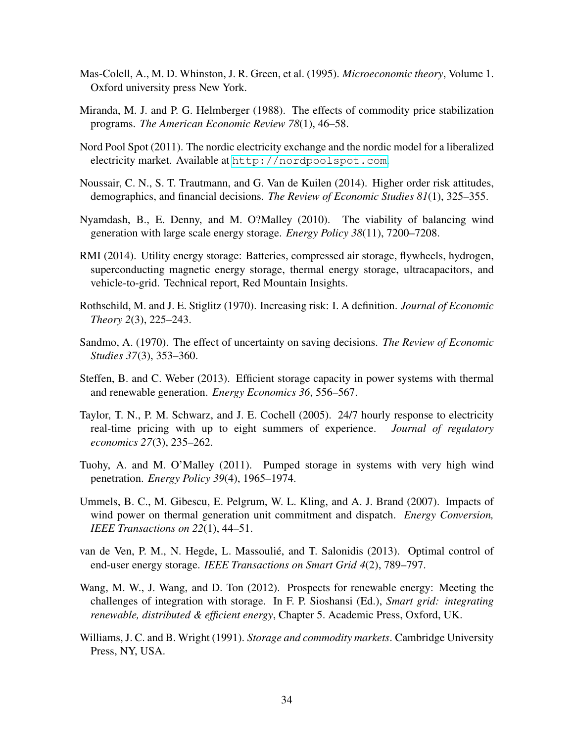- <span id="page-33-11"></span>Mas-Colell, A., M. D. Whinston, J. R. Green, et al. (1995). *Microeconomic theory*, Volume 1. Oxford university press New York.
- <span id="page-33-13"></span>Miranda, M. J. and P. G. Helmberger (1988). The effects of commodity price stabilization programs. *The American Economic Review 78*(1), 46–58.
- <span id="page-33-6"></span>Nord Pool Spot (2011). The nordic electricity exchange and the nordic model for a liberalized electricity market. Available at <http://nordpoolspot.com>.
- <span id="page-33-3"></span>Noussair, C. N., S. T. Trautmann, and G. Van de Kuilen (2014). Higher order risk attitudes, demographics, and financial decisions. *The Review of Economic Studies 81*(1), 325–355.
- <span id="page-33-4"></span>Nyamdash, B., E. Denny, and M. O?Malley (2010). The viability of balancing wind generation with large scale energy storage. *Energy Policy 38*(11), 7200–7208.
- <span id="page-33-0"></span>RMI (2014). Utility energy storage: Batteries, compressed air storage, flywheels, hydrogen, superconducting magnetic energy storage, thermal energy storage, ultracapacitors, and vehicle-to-grid. Technical report, Red Mountain Insights.
- <span id="page-33-14"></span>Rothschild, M. and J. E. Stiglitz (1970). Increasing risk: I. A definition. *Journal of Economic Theory 2*(3), 225–243.
- <span id="page-33-10"></span>Sandmo, A. (1970). The effect of uncertainty on saving decisions. *The Review of Economic Studies 37*(3), 353–360.
- <span id="page-33-2"></span>Steffen, B. and C. Weber (2013). Efficient storage capacity in power systems with thermal and renewable generation. *Energy Economics 36*, 556–567.
- <span id="page-33-12"></span>Taylor, T. N., P. M. Schwarz, and J. E. Cochell (2005). 24/7 hourly response to electricity real-time pricing with up to eight summers of experience. *Journal of regulatory economics 27*(3), 235–262.
- <span id="page-33-8"></span>Tuohy, A. and M. O'Malley (2011). Pumped storage in systems with very high wind penetration. *Energy Policy 39*(4), 1965–1974.
- <span id="page-33-5"></span>Ummels, B. C., M. Gibescu, E. Pelgrum, W. L. Kling, and A. J. Brand (2007). Impacts of wind power on thermal generation unit commitment and dispatch. *Energy Conversion, IEEE Transactions on 22*(1), 44–51.
- <span id="page-33-9"></span>van de Ven, P. M., N. Hegde, L. Massoulié, and T. Salonidis (2013). Optimal control of end-user energy storage. *IEEE Transactions on Smart Grid 4*(2), 789–797.
- <span id="page-33-1"></span>Wang, M. W., J. Wang, and D. Ton (2012). Prospects for renewable energy: Meeting the challenges of integration with storage. In F. P. Sioshansi (Ed.), *Smart grid: integrating renewable, distributed & efficient energy*, Chapter 5. Academic Press, Oxford, UK.
- <span id="page-33-7"></span>Williams, J. C. and B. Wright (1991). *Storage and commodity markets*. Cambridge University Press, NY, USA.